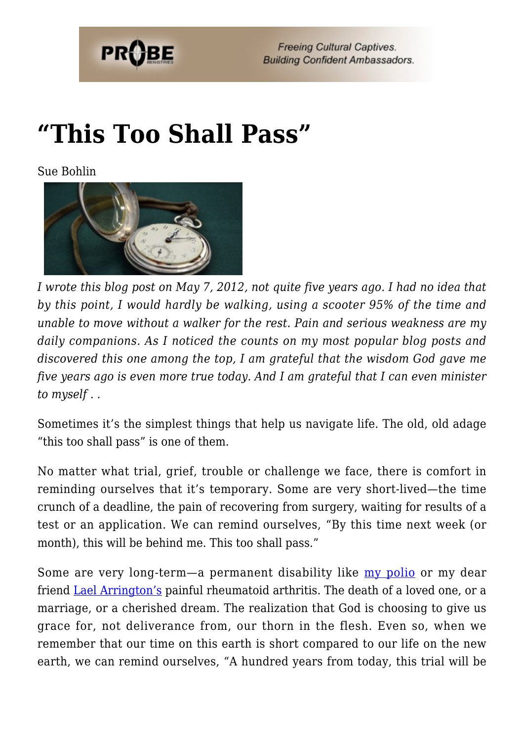

# **["This Too Shall Pass"](https://probe.org/this-too-shall-pass/)**

Sue Bohlin



*I wrote this blog post on May 7, 2012, not quite five years ago. I had no idea that by this point, I would hardly be walking, using a scooter 95% of the time and unable to move without a walker for the rest. Pain and serious weakness are my daily companions. As I noticed the counts on my most popular blog posts and discovered this one among the top, I am grateful that the wisdom God gave me five years ago is even more true today. And I am grateful that I can even minister to myself . .*

Sometimes it's the simplest things that help us navigate life. The old, old adage "this too shall pass" is one of them.

No matter what trial, grief, trouble or challenge we face, there is comfort in reminding ourselves that it's temporary. Some are very short-lived—the time crunch of a deadline, the pain of recovering from surgery, waiting for results of a test or an application. We can remind ourselves, "By this time next week (or month), this will be behind me. This too shall pass."

Some are very long-term—a permanent disability like [my polio](http://suebohlin.com/aboutSue_Story.php) or my dear friend [Lael Arrington's](http://blogs.bible.org/blog/4058) painful rheumatoid arthritis. The death of a loved one, or a marriage, or a cherished dream. The realization that God is choosing to give us grace for, not deliverance from, our thorn in the flesh. Even so, when we remember that our time on this earth is short compared to our life on the new earth, we can remind ourselves, "A hundred years from today, this trial will be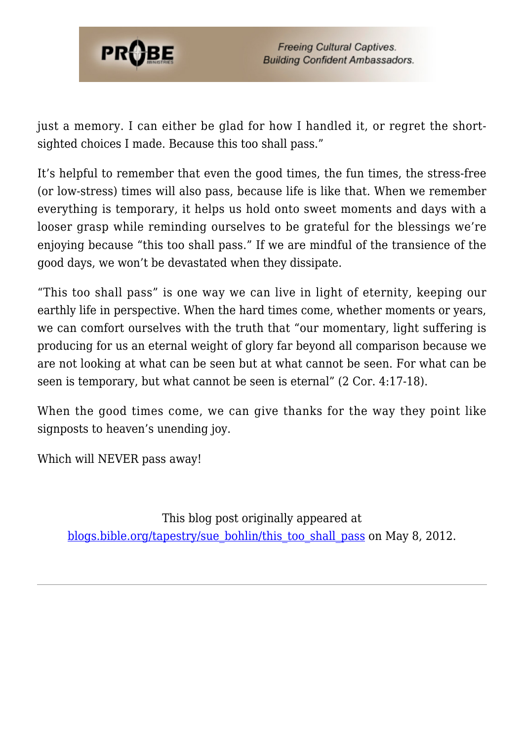

just a memory. I can either be glad for how I handled it, or regret the shortsighted choices I made. Because this too shall pass."

It's helpful to remember that even the good times, the fun times, the stress-free (or low-stress) times will also pass, because life is like that. When we remember everything is temporary, it helps us hold onto sweet moments and days with a looser grasp while reminding ourselves to be grateful for the blessings we're enjoying because "this too shall pass." If we are mindful of the transience of the good days, we won't be devastated when they dissipate.

"This too shall pass" is one way we can live in light of eternity, keeping our earthly life in perspective. When the hard times come, whether moments or years, we can comfort ourselves with the truth that "our momentary, light suffering is producing for us an eternal weight of glory far beyond all comparison because we are not looking at what can be seen but at what cannot be seen. For what can be seen is temporary, but what cannot be seen is eternal" (2 Cor. 4:17-18).

When the good times come, we can give thanks for the way they point like signposts to heaven's unending joy.

Which will NEVER pass away!

This blog post originally appeared at [blogs.bible.org/tapestry/sue\\_bohlin/this\\_too\\_shall\\_pass](http://blogs.bible.org/tapestry/sue_bohlin/this_too_shall_pass) on May 8, 2012.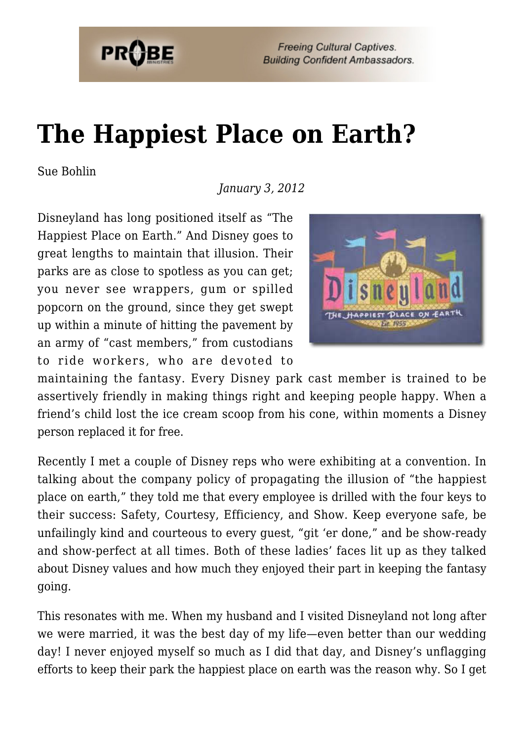

# **[The Happiest Place on Earth?](https://probe.org/the-happiest-place-on-earth/)**

Sue Bohlin

*January 3, 2012*

Disneyland has long positioned itself as "The Happiest Place on Earth." And Disney goes to great lengths to maintain that illusion. Their parks are as close to spotless as you can get; you never see wrappers, gum or spilled popcorn on the ground, since they get swept up within a minute of hitting the pavement by an army of "cast members," from custodians to ride workers, who are devoted to



maintaining the fantasy. Every Disney park cast member is trained to be assertively friendly in making things right and keeping people happy. When a friend's child lost the ice cream scoop from his cone, within moments a Disney person replaced it for free.

Recently I met a couple of Disney reps who were exhibiting at a convention. In talking about the company policy of propagating the illusion of "the happiest place on earth," they told me that every employee is drilled with the four keys to their success: Safety, Courtesy, Efficiency, and Show. Keep everyone safe, be unfailingly kind and courteous to every guest, "git 'er done," and be show-ready and show-perfect at all times. Both of these ladies' faces lit up as they talked about Disney values and how much they enjoyed their part in keeping the fantasy going.

This resonates with me. When my husband and I visited Disneyland not long after we were married, it was the best day of my life—even better than our wedding day! I never enjoyed myself so much as I did that day, and Disney's unflagging efforts to keep their park the happiest place on earth was the reason why. So I get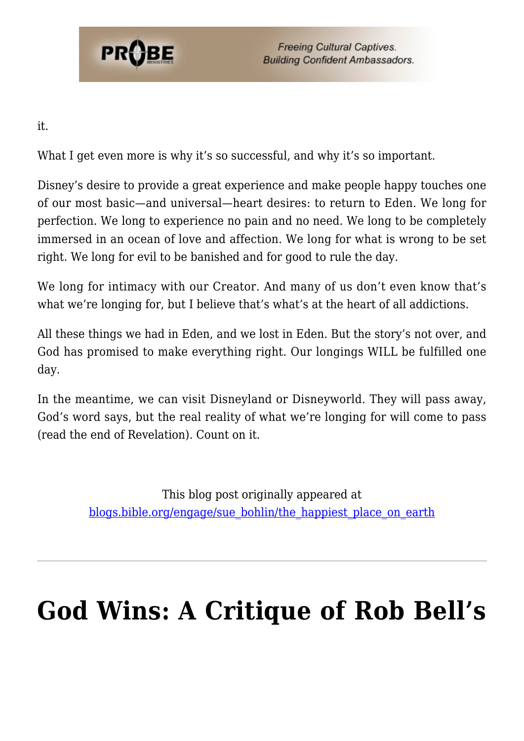

it.

What I get even more is why it's so successful, and why it's so important.

Disney's desire to provide a great experience and make people happy touches one of our most basic—and universal—heart desires: to return to Eden. We long for perfection. We long to experience no pain and no need. We long to be completely immersed in an ocean of love and affection. We long for what is wrong to be set right. We long for evil to be banished and for good to rule the day.

We long for intimacy with our Creator. And many of us don't even know that's what we're longing for, but I believe that's what's at the heart of all addictions.

All these things we had in Eden, and we lost in Eden. But the story's not over, and God has promised to make everything right. Our longings WILL be fulfilled one day.

In the meantime, we can visit Disneyland or Disneyworld. They will pass away, God's word says, but the real reality of what we're longing for will come to pass (read the end of Revelation). Count on it.

> This blog post originally appeared at [blogs.bible.org/engage/sue\\_bohlin/the\\_happiest\\_place\\_on\\_earth](http://blogs.bible.org/engage/sue_bohlin/the_happiest_place_on_earth)

# **[God Wins: A Critique of Rob Bell's](https://probe.org/god-wins-a-critique-of-rob-bells-love-wins/)**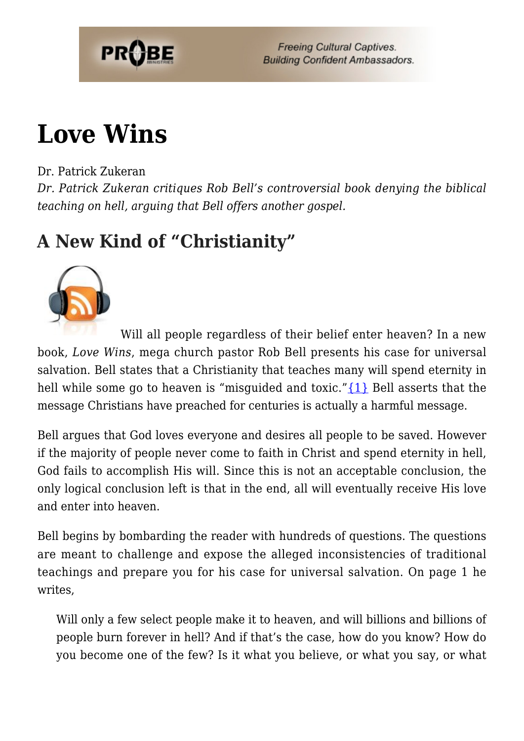

# **[Love Wins](https://probe.org/god-wins-a-critique-of-rob-bells-love-wins/)**

Dr. Patrick Zukeran

*Dr. Patrick Zukeran critiques Rob Bell's controversial book denying the biblical teaching on hell, arguing that Bell offers another gospel.*

# **A New Kind of "Christianity"**



 Will all people regardless of their belief enter heaven? In a new book, *Love Wins*, mega church pastor Rob Bell presents his case for universal salvation. Bell states that a Christianity that teaches many will spend eternity in hell while some go to heaven is "misguided and toxic." $\{1\}$  Bell asserts that the message Christians have preached for centuries is actually a harmful message.

Bell argues that God loves everyone and desires all people to be saved. However if the majority of people never come to faith in Christ and spend eternity in hell, God fails to accomplish His will. Since this is not an acceptable conclusion, the only logical conclusion left is that in the end, all will eventually receive His love and enter into heaven.

Bell begins by bombarding the reader with hundreds of questions. The questions are meant to challenge and expose the alleged inconsistencies of traditional teachings and prepare you for his case for universal salvation. On page 1 he writes,

Will only a few select people make it to heaven, and will billions and billions of people burn forever in hell? And if that's the case, how do you know? How do you become one of the few? Is it what you believe, or what you say, or what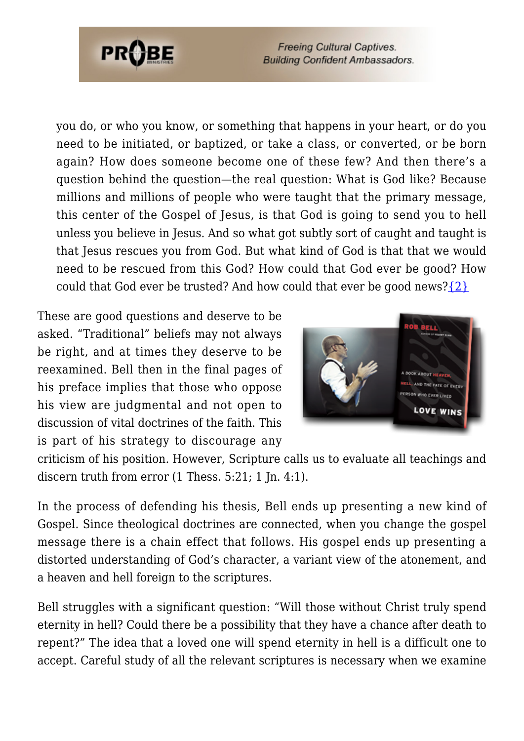

you do, or who you know, or something that happens in your heart, or do you need to be initiated, or baptized, or take a class, or converted, or be born again? How does someone become one of these few? And then there's a question behind the question—the real question: What is God like? Because millions and millions of people who were taught that the primary message, this center of the Gospel of Jesus, is that God is going to send you to hell unless you believe in Jesus. And so what got subtly sort of caught and taught is that Jesus rescues you from God. But what kind of God is that that we would need to be rescued from this God? How could that God ever be good? How could that God ever be trusted? And how could that ever be good news? $\{2\}$ 

These are good questions and deserve to be asked. "Traditional" beliefs may not always be right, and at times they deserve to be reexamined. Bell then in the final pages of his preface implies that those who oppose his view are judgmental and not open to discussion of vital doctrines of the faith. This is part of his strategy to discourage any



criticism of his position. However, Scripture calls us to evaluate all teachings and discern truth from error (1 Thess. 5:21; 1 Jn. 4:1).

In the process of defending his thesis, Bell ends up presenting a new kind of Gospel. Since theological doctrines are connected, when you change the gospel message there is a chain effect that follows. His gospel ends up presenting a distorted understanding of God's character, a variant view of the atonement, and a heaven and hell foreign to the scriptures.

Bell struggles with a significant question: "Will those without Christ truly spend eternity in hell? Could there be a possibility that they have a chance after death to repent?" The idea that a loved one will spend eternity in hell is a difficult one to accept. Careful study of all the relevant scriptures is necessary when we examine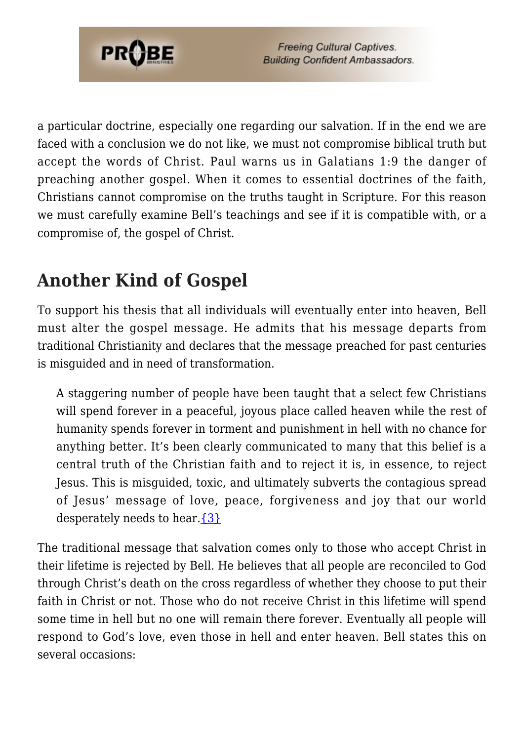

a particular doctrine, especially one regarding our salvation. If in the end we are faced with a conclusion we do not like, we must not compromise biblical truth but accept the words of Christ. Paul warns us in Galatians 1:9 the danger of preaching another gospel. When it comes to essential doctrines of the faith, Christians cannot compromise on the truths taught in Scripture. For this reason we must carefully examine Bell's teachings and see if it is compatible with, or a compromise of, the gospel of Christ.

## **Another Kind of Gospel**

To support his thesis that all individuals will eventually enter into heaven, Bell must alter the gospel message. He admits that his message departs from traditional Christianity and declares that the message preached for past centuries is misguided and in need of transformation.

A staggering number of people have been taught that a select few Christians will spend forever in a peaceful, joyous place called heaven while the rest of humanity spends forever in torment and punishment in hell with no chance for anything better. It's been clearly communicated to many that this belief is a central truth of the Christian faith and to reject it is, in essence, to reject Jesus. This is misguided, toxic, and ultimately subverts the contagious spread of Jesus' message of love, peace, forgiveness and joy that our world desperately needs to hear.[{3}](#page-49-0)

The traditional message that salvation comes only to those who accept Christ in their lifetime is rejected by Bell. He believes that all people are reconciled to God through Christ's death on the cross regardless of whether they choose to put their faith in Christ or not. Those who do not receive Christ in this lifetime will spend some time in hell but no one will remain there forever. Eventually all people will respond to God's love, even those in hell and enter heaven. Bell states this on several occasions: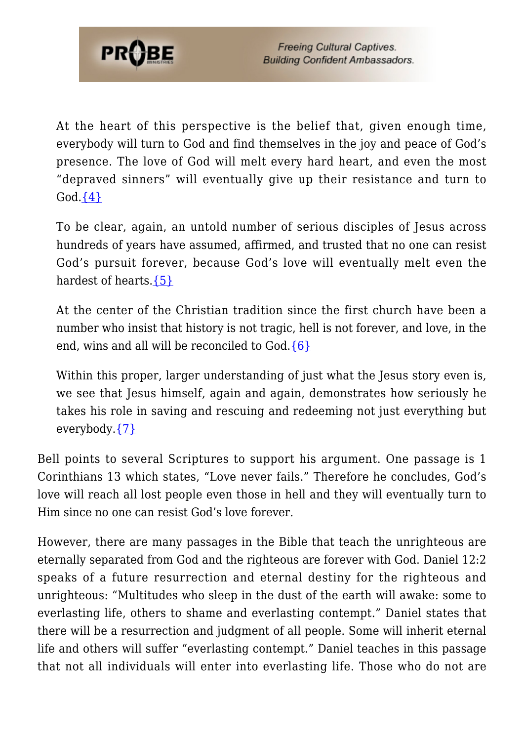

At the heart of this perspective is the belief that, given enough time, everybody will turn to God and find themselves in the joy and peace of God's presence. The love of God will melt every hard heart, and even the most "depraved sinners" will eventually give up their resistance and turn to  $God. {4}$  $God. {4}$ 

To be clear, again, an untold number of serious disciples of Jesus across hundreds of years have assumed, affirmed, and trusted that no one can resist God's pursuit forever, because God's love will eventually melt even the hardest of hearts  ${5}$ 

At the center of the Christian tradition since the first church have been a number who insist that history is not tragic, hell is not forever, and love, in the end, wins and all will be reconciled to  $God.\{6\}$ 

Within this proper, larger understanding of just what the Jesus story even is, we see that Jesus himself, again and again, demonstrates how seriously he takes his role in saving and rescuing and redeeming not just everything but everybody.[{7}](#page-49-4)

Bell points to several Scriptures to support his argument. One passage is 1 Corinthians 13 which states, "Love never fails." Therefore he concludes, God's love will reach all lost people even those in hell and they will eventually turn to Him since no one can resist God's love forever.

However, there are many passages in the Bible that teach the unrighteous are eternally separated from God and the righteous are forever with God. Daniel 12:2 speaks of a future resurrection and eternal destiny for the righteous and unrighteous: "Multitudes who sleep in the dust of the earth will awake: some to everlasting life, others to shame and everlasting contempt." Daniel states that there will be a resurrection and judgment of all people. Some will inherit eternal life and others will suffer "everlasting contempt." Daniel teaches in this passage that not all individuals will enter into everlasting life. Those who do not are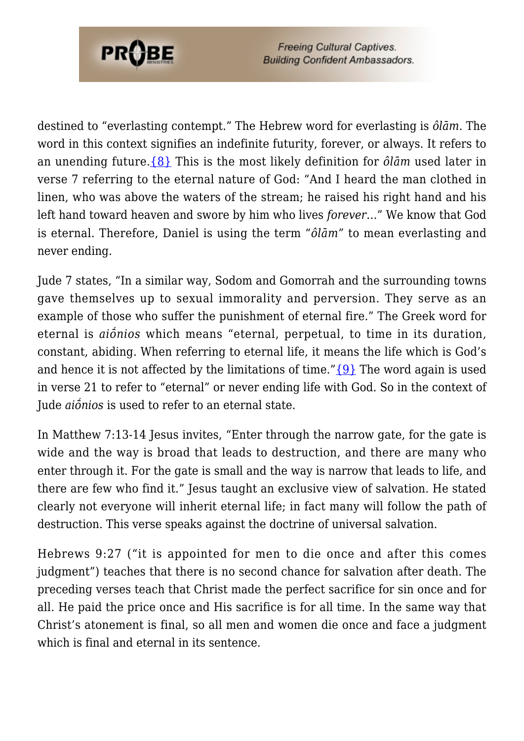

destined to "everlasting contempt." The Hebrew word for everlasting is *ôlām.* The word in this context signifies an indefinite futurity, forever, or always. It refers to an unending future.[{8}](#page-49-5) This is the most likely definition for *ôlām* used later in verse 7 referring to the eternal nature of God: "And I heard the man clothed in linen, who was above the waters of the stream; he raised his right hand and his left hand toward heaven and swore by him who lives *forever*…" We know that God is eternal. Therefore, Daniel is using the term "*ôlām"* to mean everlasting and never ending.

Jude 7 states, "In a similar way, Sodom and Gomorrah and the surrounding towns gave themselves up to sexual immorality and perversion. They serve as an example of those who suffer the punishment of eternal fire." The Greek word for eternal is *aiṓnios* which means "eternal, perpetual, to time in its duration, constant, abiding. When referring to eternal life, it means the life which is God's and hence it is not affected by the limitations of time." $\{9\}$  The word again is used in verse 21 to refer to "eternal" or never ending life with God. So in the context of Jude *aiṓnios* is used to refer to an eternal state.

In Matthew 7:13-14 Jesus invites, "Enter through the narrow gate, for the gate is wide and the way is broad that leads to destruction, and there are many who enter through it. For the gate is small and the way is narrow that leads to life, and there are few who find it." Jesus taught an exclusive view of salvation. He stated clearly not everyone will inherit eternal life; in fact many will follow the path of destruction. This verse speaks against the doctrine of universal salvation.

Hebrews 9:27 ("it is appointed for men to die once and after this comes judgment") teaches that there is no second chance for salvation after death. The preceding verses teach that Christ made the perfect sacrifice for sin once and for all. He paid the price once and His sacrifice is for all time. In the same way that Christ's atonement is final, so all men and women die once and face a judgment which is final and eternal in its sentence.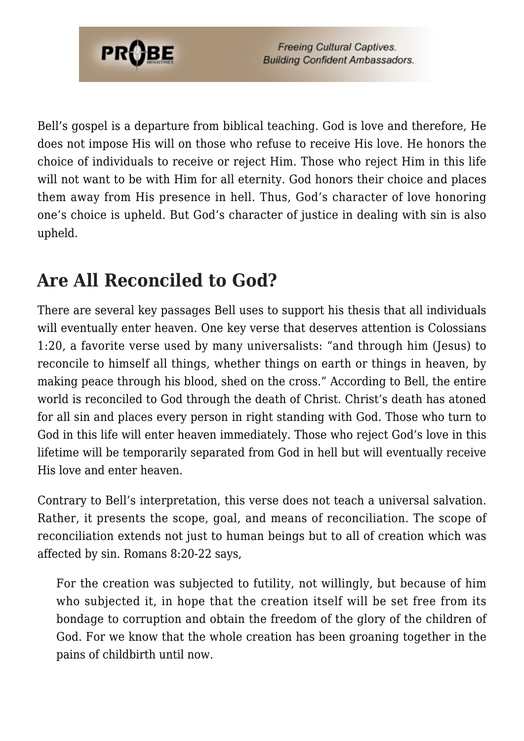

Bell's gospel is a departure from biblical teaching. God is love and therefore, He does not impose His will on those who refuse to receive His love. He honors the choice of individuals to receive or reject Him. Those who reject Him in this life will not want to be with Him for all eternity. God honors their choice and places them away from His presence in hell. Thus, God's character of love honoring one's choice is upheld. But God's character of justice in dealing with sin is also upheld.

# **Are All Reconciled to God?**

There are several key passages Bell uses to support his thesis that all individuals will eventually enter heaven. One key verse that deserves attention is Colossians 1:20, a favorite verse used by many universalists: "and through him (Jesus) to reconcile to himself all things, whether things on earth or things in heaven, by making peace through his blood, shed on the cross." According to Bell, the entire world is reconciled to God through the death of Christ. Christ's death has atoned for all sin and places every person in right standing with God. Those who turn to God in this life will enter heaven immediately. Those who reject God's love in this lifetime will be temporarily separated from God in hell but will eventually receive His love and enter heaven.

Contrary to Bell's interpretation, this verse does not teach a universal salvation. Rather, it presents the scope, goal, and means of reconciliation. The scope of reconciliation extends not just to human beings but to all of creation which was affected by sin. Romans 8:20-22 says,

For the creation was subjected to futility, not willingly, but because of him who subjected it, in hope that the creation itself will be set free from its bondage to corruption and obtain the freedom of the glory of the children of God. For we know that the whole creation has been groaning together in the pains of childbirth until now.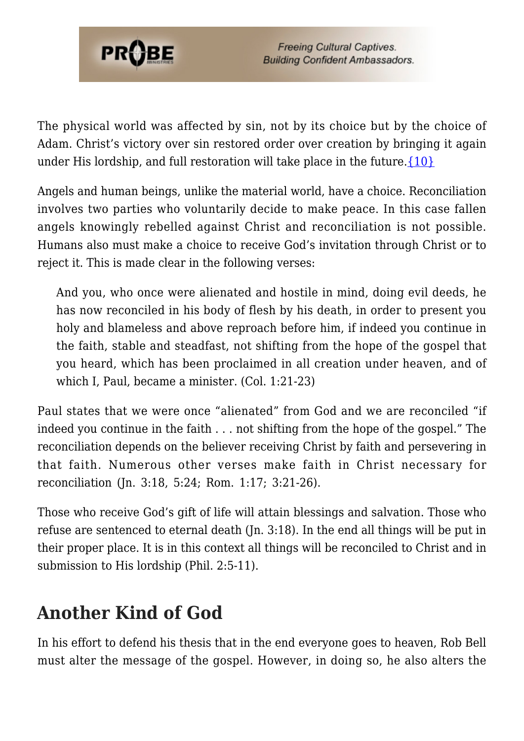

The physical world was affected by sin, not by its choice but by the choice of Adam. Christ's victory over sin restored order over creation by bringing it again under His lordship, and full restoration will take place in the future. $\{10\}$ 

Angels and human beings, unlike the material world, have a choice. Reconciliation involves two parties who voluntarily decide to make peace. In this case fallen angels knowingly rebelled against Christ and reconciliation is not possible. Humans also must make a choice to receive God's invitation through Christ or to reject it. This is made clear in the following verses:

And you, who once were alienated and hostile in mind, doing evil deeds, he has now reconciled in his body of flesh by his death, in order to present you holy and blameless and above reproach before him, if indeed you continue in the faith, stable and steadfast, not shifting from the hope of the gospel that you heard, which has been proclaimed in all creation under heaven, and of which I, Paul, became a minister. (Col. 1:21-23)

Paul states that we were once "alienated" from God and we are reconciled "if indeed you continue in the faith . . . not shifting from the hope of the gospel." The reconciliation depends on the believer receiving Christ by faith and persevering in that faith. Numerous other verses make faith in Christ necessary for reconciliation (Jn. 3:18, 5:24; Rom. 1:17; 3:21-26).

Those who receive God's gift of life will attain blessings and salvation. Those who refuse are sentenced to eternal death (Jn. 3:18). In the end all things will be put in their proper place. It is in this context all things will be reconciled to Christ and in submission to His lordship (Phil. 2:5-11).

# **Another Kind of God**

In his effort to defend his thesis that in the end everyone goes to heaven, Rob Bell must alter the message of the gospel. However, in doing so, he also alters the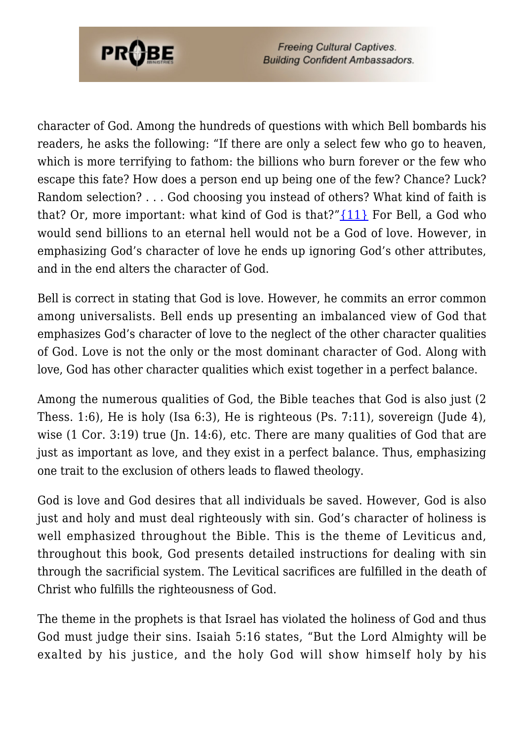

character of God. Among the hundreds of questions with which Bell bombards his readers, he asks the following: "If there are only a select few who go to heaven, which is more terrifying to fathom: the billions who burn forever or the few who escape this fate? How does a person end up being one of the few? Chance? Luck? Random selection? . . . God choosing you instead of others? What kind of faith is that? Or, more important: what kind of God is that?" ${11}$  For Bell, a God who would send billions to an eternal hell would not be a God of love. However, in emphasizing God's character of love he ends up ignoring God's other attributes, and in the end alters the character of God.

Bell is correct in stating that God is love. However, he commits an error common among universalists. Bell ends up presenting an imbalanced view of God that emphasizes God's character of love to the neglect of the other character qualities of God. Love is not the only or the most dominant character of God. Along with love, God has other character qualities which exist together in a perfect balance.

Among the numerous qualities of God, the Bible teaches that God is also just (2 Thess. 1:6), He is holy (Isa 6:3), He is righteous (Ps. 7:11), sovereign (Jude 4), wise (1 Cor. 3:19) true (Jn. 14:6), etc. There are many qualities of God that are just as important as love, and they exist in a perfect balance. Thus, emphasizing one trait to the exclusion of others leads to flawed theology.

God is love and God desires that all individuals be saved. However, God is also just and holy and must deal righteously with sin. God's character of holiness is well emphasized throughout the Bible. This is the theme of Leviticus and, throughout this book, God presents detailed instructions for dealing with sin through the sacrificial system. The Levitical sacrifices are fulfilled in the death of Christ who fulfills the righteousness of God.

The theme in the prophets is that Israel has violated the holiness of God and thus God must judge their sins. Isaiah 5:16 states, "But the Lord Almighty will be exalted by his justice, and the holy God will show himself holy by his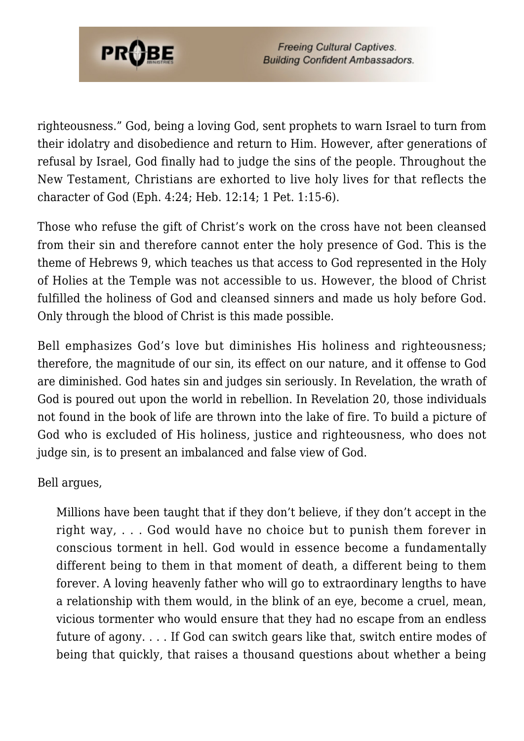

righteousness." God, being a loving God, sent prophets to warn Israel to turn from their idolatry and disobedience and return to Him. However, after generations of refusal by Israel, God finally had to judge the sins of the people. Throughout the New Testament, Christians are exhorted to live holy lives for that reflects the character of God (Eph. 4:24; Heb. 12:14; 1 Pet. 1:15-6).

Those who refuse the gift of Christ's work on the cross have not been cleansed from their sin and therefore cannot enter the holy presence of God. This is the theme of Hebrews 9, which teaches us that access to God represented in the Holy of Holies at the Temple was not accessible to us. However, the blood of Christ fulfilled the holiness of God and cleansed sinners and made us holy before God. Only through the blood of Christ is this made possible.

Bell emphasizes God's love but diminishes His holiness and righteousness; therefore, the magnitude of our sin, its effect on our nature, and it offense to God are diminished. God hates sin and judges sin seriously. In Revelation, the wrath of God is poured out upon the world in rebellion. In Revelation 20, those individuals not found in the book of life are thrown into the lake of fire. To build a picture of God who is excluded of His holiness, justice and righteousness, who does not judge sin, is to present an imbalanced and false view of God.

Bell argues,

Millions have been taught that if they don't believe, if they don't accept in the right way, . . . God would have no choice but to punish them forever in conscious torment in hell. God would in essence become a fundamentally different being to them in that moment of death, a different being to them forever. A loving heavenly father who will go to extraordinary lengths to have a relationship with them would, in the blink of an eye, become a cruel, mean, vicious tormenter who would ensure that they had no escape from an endless future of agony. . . . If God can switch gears like that, switch entire modes of being that quickly, that raises a thousand questions about whether a being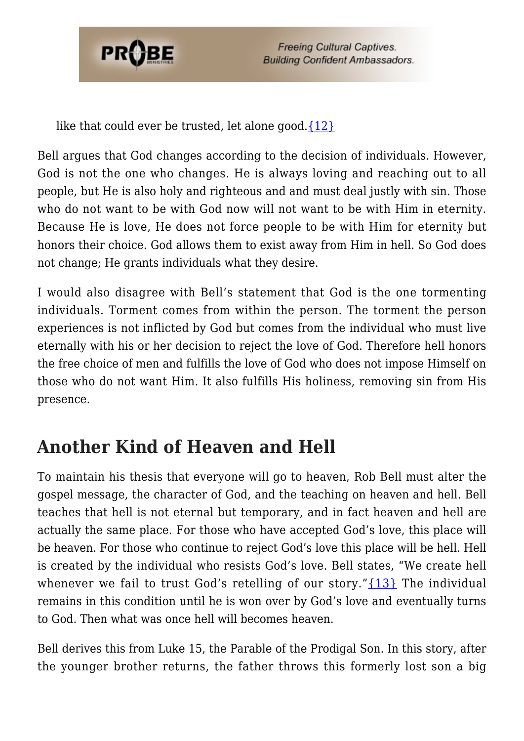

like that could ever be trusted, let alone good. $\{12\}$ 

Bell argues that God changes according to the decision of individuals. However, God is not the one who changes. He is always loving and reaching out to all people, but He is also holy and righteous and and must deal justly with sin. Those who do not want to be with God now will not want to be with Him in eternity. Because He is love, He does not force people to be with Him for eternity but honors their choice. God allows them to exist away from Him in hell. So God does not change; He grants individuals what they desire.

I would also disagree with Bell's statement that God is the one tormenting individuals. Torment comes from within the person. The torment the person experiences is not inflicted by God but comes from the individual who must live eternally with his or her decision to reject the love of God. Therefore hell honors the free choice of men and fulfills the love of God who does not impose Himself on those who do not want Him. It also fulfills His holiness, removing sin from His presence.

# **Another Kind of Heaven and Hell**

To maintain his thesis that everyone will go to heaven, Rob Bell must alter the gospel message, the character of God, and the teaching on heaven and hell. Bell teaches that hell is not eternal but temporary, and in fact heaven and hell are actually the same place. For those who have accepted God's love, this place will be heaven. For those who continue to reject God's love this place will be hell. Hell is created by the individual who resists God's love. Bell states, "We create hell whenever we fail to trust God's retelling of our story." $\{13\}$  The individual remains in this condition until he is won over by God's love and eventually turns to God. Then what was once hell will becomes heaven.

Bell derives this from Luke 15, the Parable of the Prodigal Son. In this story, after the younger brother returns, the father throws this formerly lost son a big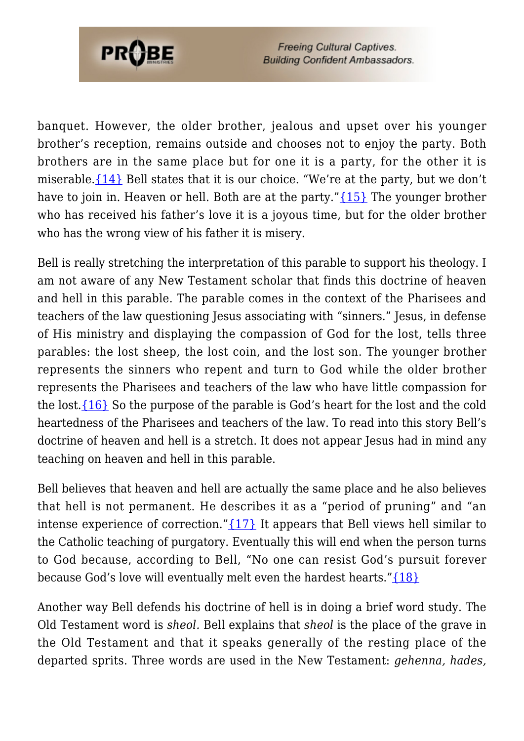

banquet. However, the older brother, jealous and upset over his younger brother's reception, remains outside and chooses not to enjoy the party. Both brothers are in the same place but for one it is a party, for the other it is miserable.[{14}](#page-49-11) Bell states that it is our choice. "We're at the party, but we don't have to join in. Heaven or hell. Both are at the party." $\{15\}$  The younger brother who has received his father's love it is a joyous time, but for the older brother who has the wrong view of his father it is misery.

Bell is really stretching the interpretation of this parable to support his theology. I am not aware of any New Testament scholar that finds this doctrine of heaven and hell in this parable. The parable comes in the context of the Pharisees and teachers of the law questioning Jesus associating with "sinners." Jesus, in defense of His ministry and displaying the compassion of God for the lost, tells three parables: the lost sheep, the lost coin, and the lost son. The younger brother represents the sinners who repent and turn to God while the older brother represents the Pharisees and teachers of the law who have little compassion for the lost. $\{16\}$  So the purpose of the parable is God's heart for the lost and the cold heartedness of the Pharisees and teachers of the law. To read into this story Bell's doctrine of heaven and hell is a stretch. It does not appear Jesus had in mind any teaching on heaven and hell in this parable.

Bell believes that heaven and hell are actually the same place and he also believes that hell is not permanent. He describes it as a "period of pruning" and "an intense experience of correction." $\{17\}$  It appears that Bell views hell similar to the Catholic teaching of purgatory. Eventually this will end when the person turns to God because, according to Bell, "No one can resist God's pursuit forever because God's love will eventually melt even the hardest hearts." $\{18\}$ 

Another way Bell defends his doctrine of hell is in doing a brief word study. The Old Testament word is *sheol.* Bell explains that *sheol* is the place of the grave in the Old Testament and that it speaks generally of the resting place of the departed sprits. Three words are used in the New Testament: *gehenna, hades,*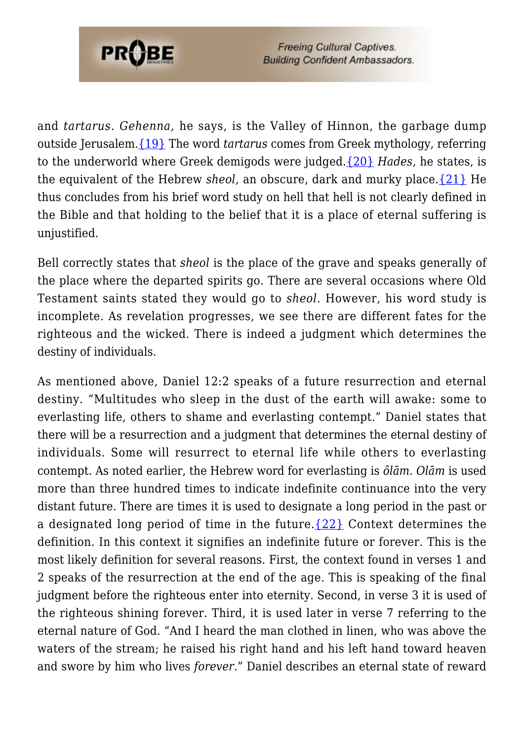

and *tartarus*. *Gehenna,* he says, is the Valley of Hinnon, the garbage dump outside Jerusalem[.{19}](#page-49-16) The word *tartarus* comes from Greek mythology, referring to the underworld where Greek demigods were judged.[{20}](#page-23-0) *Hades,* he states, is the equivalent of the Hebrew *sheol*, an obscure, dark and murky place.[{21}](#page-23-1) He thus concludes from his brief word study on hell that hell is not clearly defined in the Bible and that holding to the belief that it is a place of eternal suffering is unjustified.

Bell correctly states that *sheol* is the place of the grave and speaks generally of the place where the departed spirits go. There are several occasions where Old Testament saints stated they would go to *sheol*. However, his word study is incomplete. As revelation progresses, we see there are different fates for the righteous and the wicked. There is indeed a judgment which determines the destiny of individuals.

As mentioned above, Daniel 12:2 speaks of a future resurrection and eternal destiny. "Multitudes who sleep in the dust of the earth will awake: some to everlasting life, others to shame and everlasting contempt." Daniel states that there will be a resurrection and a judgment that determines the eternal destiny of individuals. Some will resurrect to eternal life while others to everlasting contempt. As noted earlier, the Hebrew word for everlasting is *ôlām. Olām* is used more than three hundred times to indicate indefinite continuance into the very distant future. There are times it is used to designate a long period in the past or a designated long period of time in the future.  $\{22\}$  Context determines the definition. In this context it signifies an indefinite future or forever. This is the most likely definition for several reasons. First, the context found in verses 1 and 2 speaks of the resurrection at the end of the age. This is speaking of the final judgment before the righteous enter into eternity. Second, in verse 3 it is used of the righteous shining forever. Third, it is used later in verse 7 referring to the eternal nature of God. "And I heard the man clothed in linen, who was above the waters of the stream; he raised his right hand and his left hand toward heaven and swore by him who lives *forever*." Daniel describes an eternal state of reward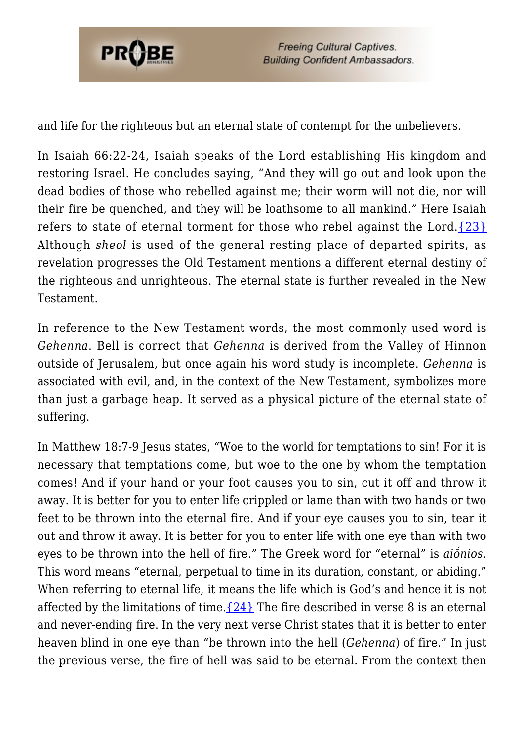

and life for the righteous but an eternal state of contempt for the unbelievers.

In Isaiah 66:22-24, Isaiah speaks of the Lord establishing His kingdom and restoring Israel. He concludes saying, "And they will go out and look upon the dead bodies of those who rebelled against me; their worm will not die, nor will their fire be quenched, and they will be loathsome to all mankind." Here Isaiah refers to state of eternal torment for those who rebel against the Lord.  $\{23\}$ Although *sheol* is used of the general resting place of departed spirits, as revelation progresses the Old Testament mentions a different eternal destiny of the righteous and unrighteous. The eternal state is further revealed in the New Testament.

In reference to the New Testament words, the most commonly used word is *Gehenna*. Bell is correct that *Gehenna* is derived from the Valley of Hinnon outside of Jerusalem, but once again his word study is incomplete. *Gehenna* is associated with evil, and, in the context of the New Testament, symbolizes more than just a garbage heap. It served as a physical picture of the eternal state of suffering.

In Matthew 18:7-9 Jesus states, "Woe to the world for temptations to sin! For it is necessary that temptations come, but woe to the one by whom the temptation comes! And if your hand or your foot causes you to sin, cut it off and throw it away. It is better for you to enter life crippled or lame than with two hands or two feet to be thrown into the eternal fire. And if your eye causes you to sin, tear it out and throw it away. It is better for you to enter life with one eye than with two eyes to be thrown into the hell of fire." The Greek word for "eternal" is *aiṓnios*. This word means "eternal, perpetual to time in its duration, constant, or abiding." When referring to eternal life, it means the life which is God's and hence it is not affected by the limitations of time. ${24}$  The fire described in verse 8 is an eternal and never-ending fire. In the very next verse Christ states that it is better to enter heaven blind in one eye than "be thrown into the hell (*Gehenna*) of fire." In just the previous verse, the fire of hell was said to be eternal. From the context then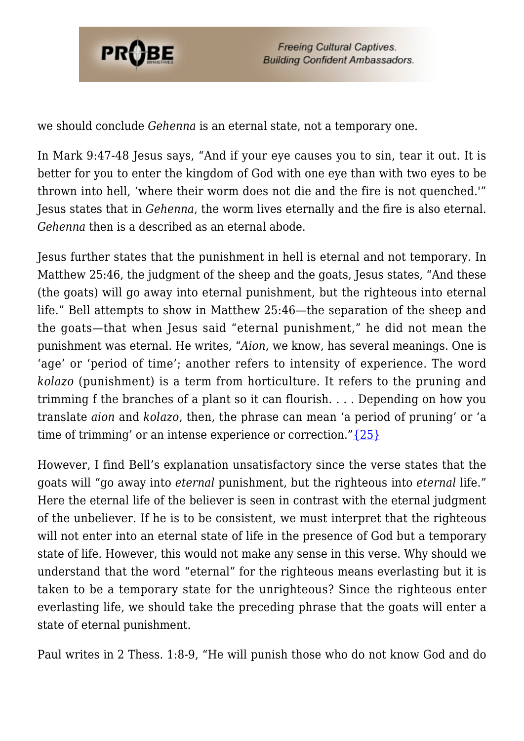

we should conclude *Gehenna* is an eternal state, not a temporary one.

In Mark 9:47-48 Jesus says, "And if your eye causes you to sin, tear it out. It is better for you to enter the kingdom of God with one eye than with two eyes to be thrown into hell, 'where their worm does not die and the fire is not quenched.'" Jesus states that in *Gehenna*, the worm lives eternally and the fire is also eternal. *Gehenna* then is a described as an eternal abode.

Jesus further states that the punishment in hell is eternal and not temporary. In Matthew 25:46, the judgment of the sheep and the goats, Jesus states, "And these (the goats) will go away into eternal punishment, but the righteous into eternal life." Bell attempts to show in Matthew 25:46—the separation of the sheep and the goats—that when Jesus said "eternal punishment," he did not mean the punishment was eternal. He writes, "*Aion*, we know, has several meanings. One is 'age' or 'period of time'; another refers to intensity of experience. The word *kolazo* (punishment) is a term from horticulture. It refers to the pruning and trimming f the branches of a plant so it can flourish. . . . Depending on how you translate *aion* and *kolazo*, then, the phrase can mean 'a period of pruning' or 'a time of trimming' or an intense experience or correction." $\{25\}$ 

However, I find Bell's explanation unsatisfactory since the verse states that the goats will "go away into *eternal* punishment, but the righteous into *eternal* life." Here the eternal life of the believer is seen in contrast with the eternal judgment of the unbeliever. If he is to be consistent, we must interpret that the righteous will not enter into an eternal state of life in the presence of God but a temporary state of life. However, this would not make any sense in this verse. Why should we understand that the word "eternal" for the righteous means everlasting but it is taken to be a temporary state for the unrighteous? Since the righteous enter everlasting life, we should take the preceding phrase that the goats will enter a state of eternal punishment.

Paul writes in 2 Thess. 1:8-9, "He will punish those who do not know God and do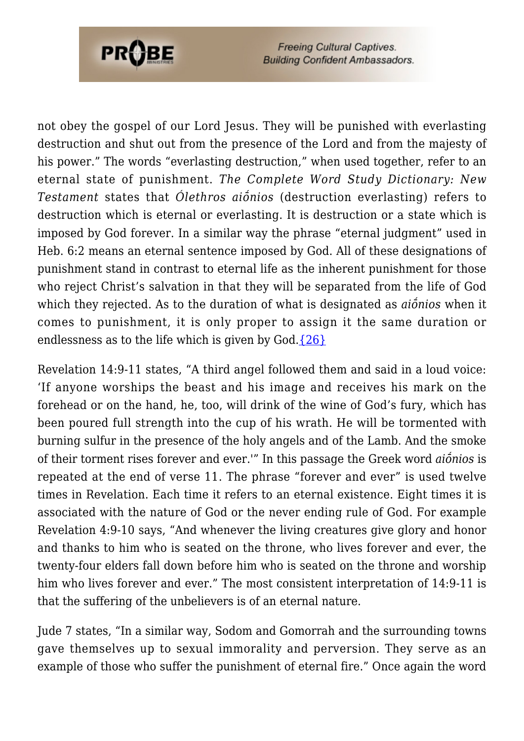

not obey the gospel of our Lord Jesus. They will be punished with everlasting destruction and shut out from the presence of the Lord and from the majesty of his power." The words "everlasting destruction," when used together, refer to an eternal state of punishment. *The Complete Word Study Dictionary: New Testament* states that *Ólethros aiṓnios* (destruction everlasting) refers to destruction which is eternal or everlasting. It is destruction or a state which is imposed by God forever. In a similar way the phrase "eternal judgment" used in Heb. 6:2 means an eternal sentence imposed by God. All of these designations of punishment stand in contrast to eternal life as the inherent punishment for those who reject Christ's salvation in that they will be separated from the life of God which they rejected. As to the duration of what is designated as *aiṓnios* when it comes to punishment, it is only proper to assign it the same duration or endlessness as to the life which is given by  $God. {26}$  $God. {26}$ 

Revelation 14:9-11 states, "A third angel followed them and said in a loud voice: 'If anyone worships the beast and his image and receives his mark on the forehead or on the hand, he, too, will drink of the wine of God's fury, which has been poured full strength into the cup of his wrath. He will be tormented with burning sulfur in the presence of the holy angels and of the Lamb. And the smoke of their torment rises forever and ever.'" In this passage the Greek word *aiṓnios* is repeated at the end of verse 11. The phrase "forever and ever" is used twelve times in Revelation. Each time it refers to an eternal existence. Eight times it is associated with the nature of God or the never ending rule of God. For example Revelation 4:9-10 says, "And whenever the living creatures give glory and honor and thanks to him who is seated on the throne, who lives forever and ever, the twenty-four elders fall down before him who is seated on the throne and worship him who lives forever and ever." The most consistent interpretation of 14:9-11 is that the suffering of the unbelievers is of an eternal nature.

Jude 7 states, "In a similar way, Sodom and Gomorrah and the surrounding towns gave themselves up to sexual immorality and perversion. They serve as an example of those who suffer the punishment of eternal fire." Once again the word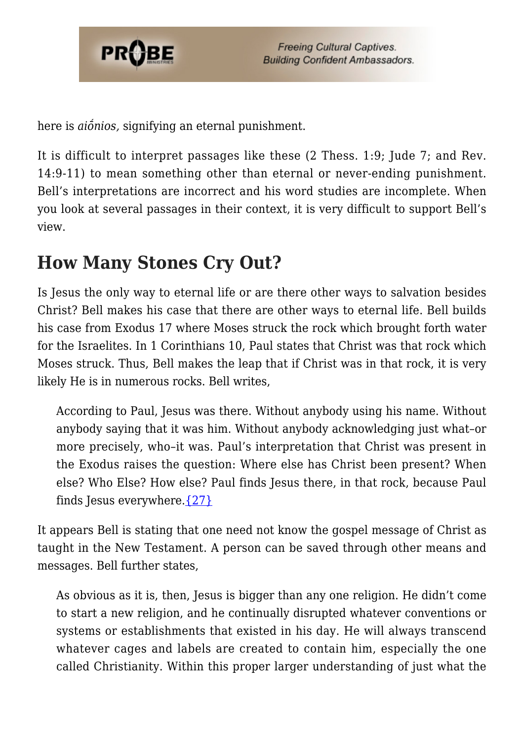

here is *aiṓnios,* signifying an eternal punishment.

It is difficult to interpret passages like these (2 Thess. 1:9; Jude 7; and Rev. 14:9-11) to mean something other than eternal or never-ending punishment. Bell's interpretations are incorrect and his word studies are incomplete. When you look at several passages in their context, it is very difficult to support Bell's view.

## **How Many Stones Cry Out?**

Is Jesus the only way to eternal life or are there other ways to salvation besides Christ? Bell makes his case that there are other ways to eternal life. Bell builds his case from Exodus 17 where Moses struck the rock which brought forth water for the Israelites. In 1 Corinthians 10, Paul states that Christ was that rock which Moses struck. Thus, Bell makes the leap that if Christ was in that rock, it is very likely He is in numerous rocks. Bell writes,

According to Paul, Jesus was there. Without anybody using his name. Without anybody saying that it was him. Without anybody acknowledging just what–or more precisely, who–it was. Paul's interpretation that Christ was present in the Exodus raises the question: Where else has Christ been present? When else? Who Else? How else? Paul finds Jesus there, in that rock, because Paul finds Jesus everywhere. ${27}$ 

It appears Bell is stating that one need not know the gospel message of Christ as taught in the New Testament. A person can be saved through other means and messages. Bell further states,

As obvious as it is, then, Jesus is bigger than any one religion. He didn't come to start a new religion, and he continually disrupted whatever conventions or systems or establishments that existed in his day. He will always transcend whatever cages and labels are created to contain him, especially the one called Christianity. Within this proper larger understanding of just what the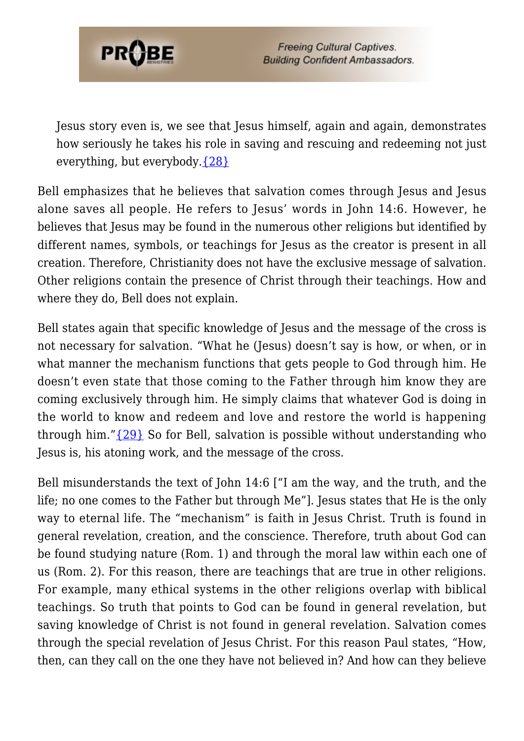

Jesus story even is, we see that Jesus himself, again and again, demonstrates how seriously he takes his role in saving and rescuing and redeeming not just everything, but everybody.[{28}](#page-23-8)

Bell emphasizes that he believes that salvation comes through Jesus and Jesus alone saves all people. He refers to Jesus' words in John 14:6. However, he believes that Jesus may be found in the numerous other religions but identified by different names, symbols, or teachings for Jesus as the creator is present in all creation. Therefore, Christianity does not have the exclusive message of salvation. Other religions contain the presence of Christ through their teachings. How and where they do, Bell does not explain.

Bell states again that specific knowledge of Jesus and the message of the cross is not necessary for salvation. "What he (Jesus) doesn't say is how, or when, or in what manner the mechanism functions that gets people to God through him. He doesn't even state that those coming to the Father through him know they are coming exclusively through him. He simply claims that whatever God is doing in the world to know and redeem and love and restore the world is happening through him." $\{29\}$  So for Bell, salvation is possible without understanding who Jesus is, his atoning work, and the message of the cross.

Bell misunderstands the text of John 14:6 ["I am the way, and the truth, and the life; no one comes to the Father but through Me"]. Jesus states that He is the only way to eternal life. The "mechanism" is faith in Jesus Christ. Truth is found in general revelation, creation, and the conscience. Therefore, truth about God can be found studying nature (Rom. 1) and through the moral law within each one of us (Rom. 2). For this reason, there are teachings that are true in other religions. For example, many ethical systems in the other religions overlap with biblical teachings. So truth that points to God can be found in general revelation, but saving knowledge of Christ is not found in general revelation. Salvation comes through the special revelation of Jesus Christ. For this reason Paul states, "How, then, can they call on the one they have not believed in? And how can they believe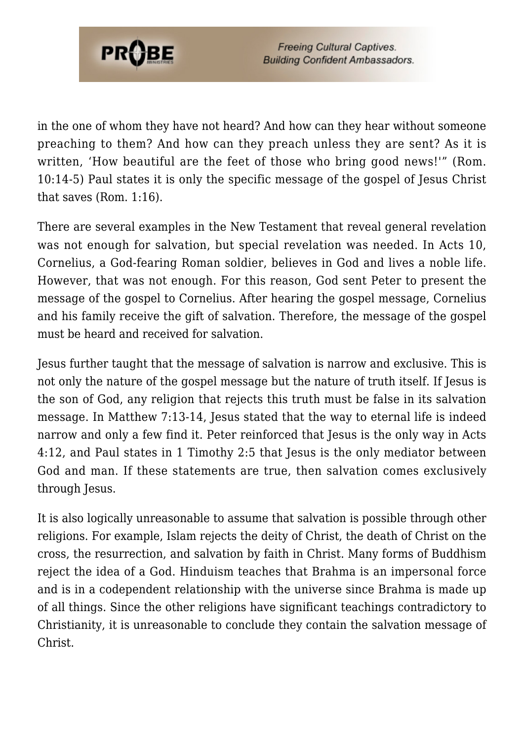

in the one of whom they have not heard? And how can they hear without someone preaching to them? And how can they preach unless they are sent? As it is written. 'How beautiful are the feet of those who bring good news!'" (Rom. 10:14-5) Paul states it is only the specific message of the gospel of Jesus Christ that saves (Rom. 1:16).

There are several examples in the New Testament that reveal general revelation was not enough for salvation, but special revelation was needed. In Acts 10, Cornelius, a God-fearing Roman soldier, believes in God and lives a noble life. However, that was not enough. For this reason, God sent Peter to present the message of the gospel to Cornelius. After hearing the gospel message, Cornelius and his family receive the gift of salvation. Therefore, the message of the gospel must be heard and received for salvation.

Jesus further taught that the message of salvation is narrow and exclusive. This is not only the nature of the gospel message but the nature of truth itself. If Jesus is the son of God, any religion that rejects this truth must be false in its salvation message. In Matthew 7:13-14, Jesus stated that the way to eternal life is indeed narrow and only a few find it. Peter reinforced that Jesus is the only way in Acts 4:12, and Paul states in 1 Timothy 2:5 that Jesus is the only mediator between God and man. If these statements are true, then salvation comes exclusively through Jesus.

It is also logically unreasonable to assume that salvation is possible through other religions. For example, Islam rejects the deity of Christ, the death of Christ on the cross, the resurrection, and salvation by faith in Christ. Many forms of Buddhism reject the idea of a God. Hinduism teaches that Brahma is an impersonal force and is in a codependent relationship with the universe since Brahma is made up of all things. Since the other religions have significant teachings contradictory to Christianity, it is unreasonable to conclude they contain the salvation message of Christ.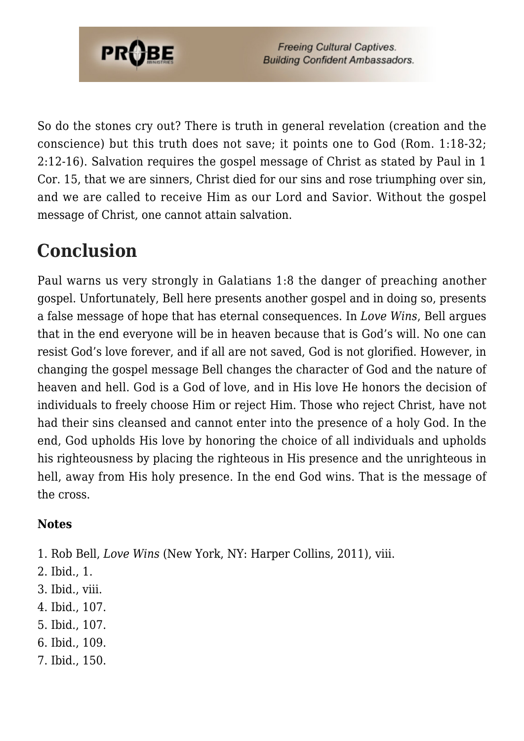

So do the stones cry out? There is truth in general revelation (creation and the conscience) but this truth does not save; it points one to God (Rom. 1:18-32; 2:12-16). Salvation requires the gospel message of Christ as stated by Paul in 1 Cor. 15, that we are sinners, Christ died for our sins and rose triumphing over sin, and we are called to receive Him as our Lord and Savior. Without the gospel message of Christ, one cannot attain salvation.

# **Conclusion**

Paul warns us very strongly in Galatians 1:8 the danger of preaching another gospel. Unfortunately, Bell here presents another gospel and in doing so, presents a false message of hope that has eternal consequences. In *Love Wins*, Bell argues that in the end everyone will be in heaven because that is God's will. No one can resist God's love forever, and if all are not saved, God is not glorified. However, in changing the gospel message Bell changes the character of God and the nature of heaven and hell. God is a God of love, and in His love He honors the decision of individuals to freely choose Him or reject Him. Those who reject Christ, have not had their sins cleansed and cannot enter into the presence of a holy God. In the end, God upholds His love by honoring the choice of all individuals and upholds his righteousness by placing the righteous in His presence and the unrighteous in hell, away from His holy presence. In the end God wins. That is the message of the cross.

### **Notes**

- 1. Rob Bell, *Love Wins* (New York, NY: Harper Collins, 2011), viii.
- 2. Ibid., 1.
- 3. Ibid., viii.
- 4. Ibid., 107.
- 5. Ibid., 107.
- 6. Ibid., 109.
- 7. Ibid., 150.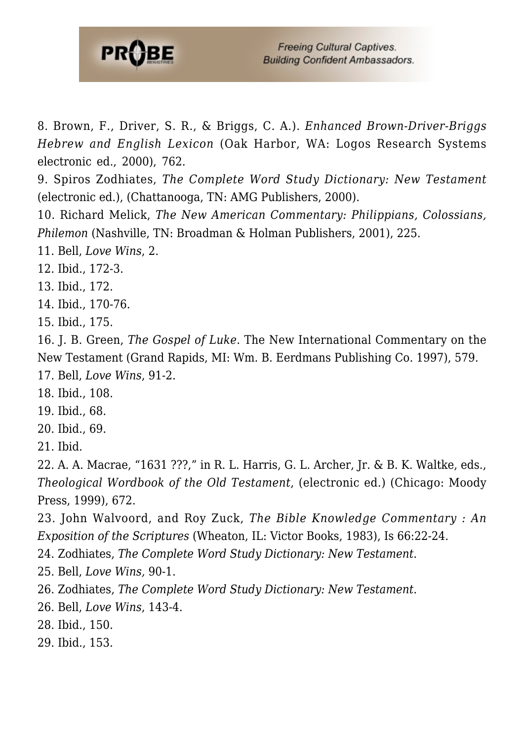

8. Brown, F., Driver, S. R., & Briggs, C. A.). *Enhanced Brown-Driver-Briggs Hebrew and English Lexicon* (Oak Harbor, WA: Logos Research Systems electronic ed., 2000), 762.

9. Spiros Zodhiates, *The Complete Word Study Dictionary: New Testament* (electronic ed.), (Chattanooga, TN: AMG Publishers, 2000).

10. Richard Melick, *The New American Commentary: Philippians, Colossians, Philemon* (Nashville, TN: Broadman & Holman Publishers, 2001), 225.

11. Bell, *Love Wins*, 2.

12. Ibid., 172-3.

13. Ibid., 172.

14. Ibid., 170-76.

15. Ibid., 175.

16. J. B. Green, *The Gospel of Luke*. The New International Commentary on the New Testament (Grand Rapids, MI: Wm. B. Eerdmans Publishing Co. 1997), 579. 17. Bell, *Love Wins*, 91-2.

18. Ibid., 108.

19. Ibid., 68.

<span id="page-23-0"></span>20. Ibid., 69.

<span id="page-23-1"></span>21. Ibid.

<span id="page-23-2"></span>22. A. A. Macrae, "1631 ???," in R. L. Harris, G. L. Archer, Jr. & B. K. Waltke, eds., *Theological Wordbook of the Old Testament*, (electronic ed.) (Chicago: Moody Press, 1999), 672.

<span id="page-23-3"></span>23. John Walvoord, and Roy Zuck, *The Bible Knowledge Commentary : An Exposition of the Scriptures* (Wheaton, IL: Victor Books, 1983), Is 66:22-24.

<span id="page-23-4"></span>24. Zodhiates, *The Complete Word Study Dictionary: New Testament*.

<span id="page-23-5"></span>25. Bell, *Love Wins,* 90-1.

<span id="page-23-6"></span>26. Zodhiates, *The Complete Word Study Dictionary: New Testament*.

<span id="page-23-7"></span>26. Bell, *Love Wins*, 143-4.

<span id="page-23-8"></span>28. Ibid., 150.

<span id="page-23-9"></span>29. Ibid., 153.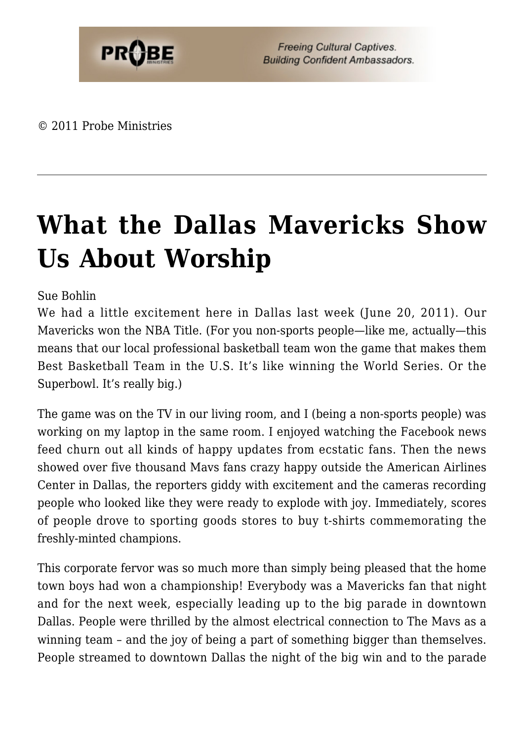© 2011 Probe Ministries

# **[What the Dallas Mavericks Show](https://probe.org/what-the-dallas-mavericks-show-us-about-worship/) [Us About Worship](https://probe.org/what-the-dallas-mavericks-show-us-about-worship/)**

### Sue Bohlin

We had a little excitement here in Dallas last week (June 20, 2011). Our Mavericks won the NBA Title. (For you non-sports people—like me, actually—this means that our local professional basketball team won the game that makes them Best Basketball Team in the U.S. It's like winning the World Series. Or the Superbowl. It's really big.)

The game was on the TV in our living room, and I (being a non-sports people) was working on my laptop in the same room. I enjoyed watching the Facebook news feed churn out all kinds of happy updates from ecstatic fans. Then the news showed over five thousand Mavs fans crazy happy outside the American Airlines Center in Dallas, the reporters giddy with excitement and the cameras recording people who looked like they were ready to explode with joy. Immediately, scores of people drove to sporting goods stores to buy t-shirts commemorating the freshly-minted champions.

This corporate fervor was so much more than simply being pleased that the home town boys had won a championship! Everybody was a Mavericks fan that night and for the next week, especially leading up to the big parade in downtown Dallas. People were thrilled by the almost electrical connection to The Mavs as a winning team – and the joy of being a part of something bigger than themselves. People streamed to downtown Dallas the night of the big win and to the parade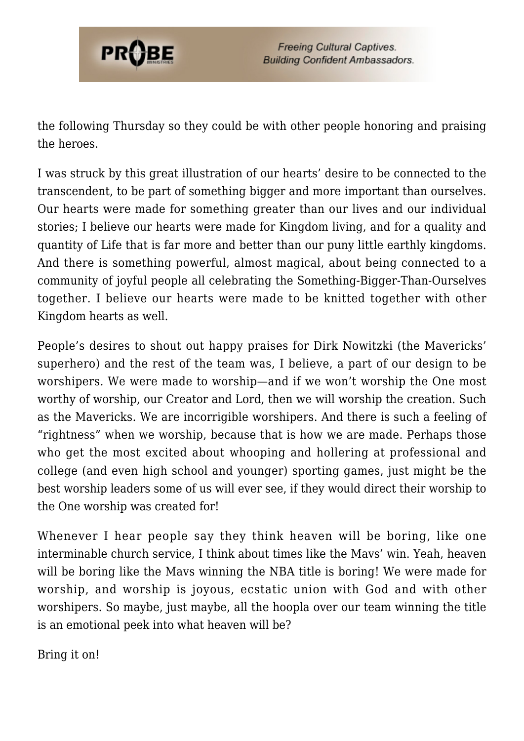

the following Thursday so they could be with other people honoring and praising the heroes.

I was struck by this great illustration of our hearts' desire to be connected to the transcendent, to be part of something bigger and more important than ourselves. Our hearts were made for something greater than our lives and our individual stories; I believe our hearts were made for Kingdom living, and for a quality and quantity of Life that is far more and better than our puny little earthly kingdoms. And there is something powerful, almost magical, about being connected to a community of joyful people all celebrating the Something-Bigger-Than-Ourselves together. I believe our hearts were made to be knitted together with other Kingdom hearts as well.

People's desires to shout out happy praises for Dirk Nowitzki (the Mavericks' superhero) and the rest of the team was, I believe, a part of our design to be worshipers. We were made to worship—and if we won't worship the One most worthy of worship, our Creator and Lord, then we will worship the creation. Such as the Mavericks. We are incorrigible worshipers. And there is such a feeling of "rightness" when we worship, because that is how we are made. Perhaps those who get the most excited about whooping and hollering at professional and college (and even high school and younger) sporting games, just might be the best worship leaders some of us will ever see, if they would direct their worship to the One worship was created for!

Whenever I hear people say they think heaven will be boring, like one interminable church service, I think about times like the Mavs' win. Yeah, heaven will be boring like the Mavs winning the NBA title is boring! We were made for worship, and worship is joyous, ecstatic union with God and with other worshipers. So maybe, just maybe, all the hoopla over our team winning the title is an emotional peek into what heaven will be?

Bring it on!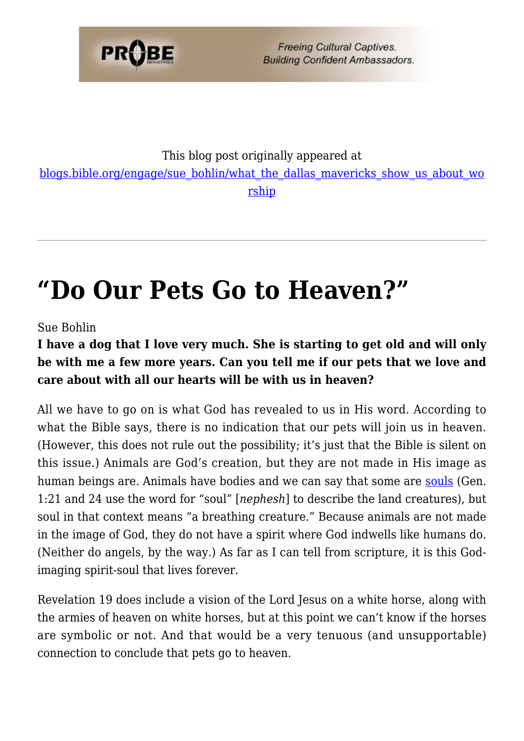

#### This blog post originally appeared at

[blogs.bible.org/engage/sue\\_bohlin/what\\_the\\_dallas\\_mavericks\\_show\\_us\\_about\\_wo](http://blogs.bible.org/engage/sue_bohlin/what_the_dallas_mavericks_show_us_about_worship) [rship](http://blogs.bible.org/engage/sue_bohlin/what_the_dallas_mavericks_show_us_about_worship)

# **["Do Our Pets Go to Heaven?"](https://probe.org/do-our-pets-go-to-heaven/)**

Sue Bohlin

### **I have a dog that I love very much. She is starting to get old and will only be with me a few more years. Can you tell me if our pets that we love and care about with all our hearts will be with us in heaven?**

All we have to go on is what God has revealed to us in His word. According to what the Bible says, there is no indication that our pets will join us in heaven. (However, this does not rule out the possibility; it's just that the Bible is silent on this issue.) Animals are God's creation, but they are not made in His image as human beings are. Animals have bodies and we can say that some are [souls](https://www.probe.org/do-animals-have-souls/) (Gen. 1:21 and 24 use the word for "soul" [*nephesh*] to describe the land creatures), but soul in that context means "a breathing creature." Because animals are not made in the image of God, they do not have a spirit where God indwells like humans do. (Neither do angels, by the way.) As far as I can tell from scripture, it is this Godimaging spirit-soul that lives forever.

Revelation 19 does include a vision of the Lord Jesus on a white horse, along with the armies of heaven on white horses, but at this point we can't know if the horses are symbolic or not. And that would be a very tenuous (and unsupportable) connection to conclude that pets go to heaven.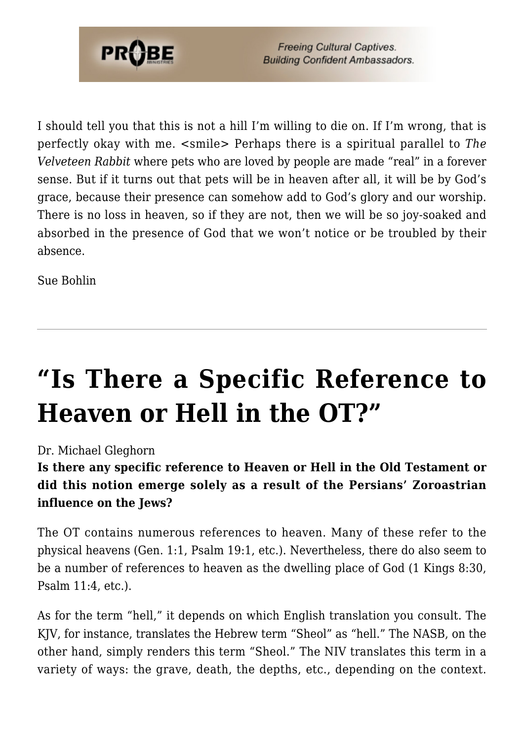

I should tell you that this is not a hill I'm willing to die on. If I'm wrong, that is perfectly okay with me. <smile> Perhaps there is a spiritual parallel to *The Velveteen Rabbit* where pets who are loved by people are made "real" in a forever sense. But if it turns out that pets will be in heaven after all, it will be by God's grace, because their presence can somehow add to God's glory and our worship. There is no loss in heaven, so if they are not, then we will be so joy-soaked and absorbed in the presence of God that we won't notice or be troubled by their absence.

Sue Bohlin

# **["Is There a Specific Reference to](https://probe.org/is-there-a-specific-reference-to-heaven-or-hell-in-the-ot/) [Heaven or Hell in the OT?"](https://probe.org/is-there-a-specific-reference-to-heaven-or-hell-in-the-ot/)**

### Dr. Michael Gleghorn

**Is there any specific reference to Heaven or Hell in the Old Testament or did this notion emerge solely as a result of the Persians' Zoroastrian influence on the Jews?**

The OT contains numerous references to heaven. Many of these refer to the physical heavens (Gen. 1:1, Psalm 19:1, etc.). Nevertheless, there do also seem to be a number of references to heaven as the dwelling place of God (1 Kings 8:30, Psalm 11:4, etc.).

As for the term "hell," it depends on which English translation you consult. The KJV, for instance, translates the Hebrew term "Sheol" as "hell." The NASB, on the other hand, simply renders this term "Sheol." The NIV translates this term in a variety of ways: the grave, death, the depths, etc., depending on the context.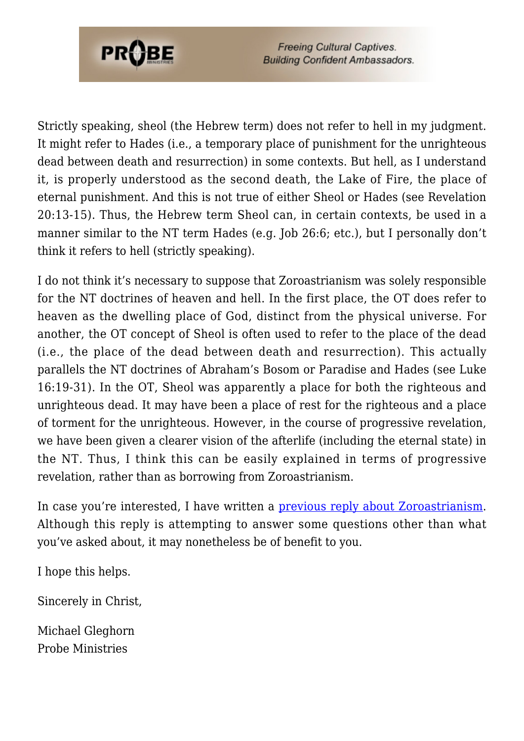

Strictly speaking, sheol (the Hebrew term) does not refer to hell in my judgment. It might refer to Hades (i.e., a temporary place of punishment for the unrighteous dead between death and resurrection) in some contexts. But hell, as I understand it, is properly understood as the second death, the Lake of Fire, the place of eternal punishment. And this is not true of either Sheol or Hades (see Revelation 20:13-15). Thus, the Hebrew term Sheol can, in certain contexts, be used in a manner similar to the NT term Hades (e.g. Job 26:6; etc.), but I personally don't think it refers to hell (strictly speaking).

I do not think it's necessary to suppose that Zoroastrianism was solely responsible for the NT doctrines of heaven and hell. In the first place, the OT does refer to heaven as the dwelling place of God, distinct from the physical universe. For another, the OT concept of Sheol is often used to refer to the place of the dead (i.e., the place of the dead between death and resurrection). This actually parallels the NT doctrines of Abraham's Bosom or Paradise and Hades (see Luke 16:19-31). In the OT, Sheol was apparently a place for both the righteous and unrighteous dead. It may have been a place of rest for the righteous and a place of torment for the unrighteous. However, in the course of progressive revelation, we have been given a clearer vision of the afterlife (including the eternal state) in the NT. Thus, I think this can be easily explained in terms of progressive revelation, rather than as borrowing from Zoroastrianism.

In case you're interested, I have written a **previous reply about Zoroastrianism**. Although this reply is attempting to answer some questions other than what you've asked about, it may nonetheless be of benefit to you.

I hope this helps.

Sincerely in Christ,

Michael Gleghorn Probe Ministries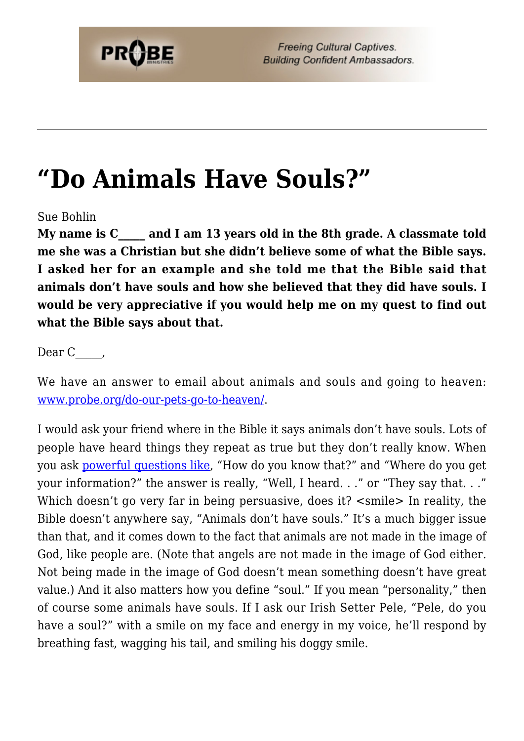# **["Do Animals Have Souls?"](https://probe.org/do-animals-have-souls/)**

Sue Bohlin

**My name is C\_\_\_\_\_ and I am 13 years old in the 8th grade. A classmate told me she was a Christian but she didn't believe some of what the Bible says. I asked her for an example and she told me that the Bible said that animals don't have souls and how she believed that they did have souls. I would be very appreciative if you would help me on my quest to find out what the Bible says about that.**

Dear C<sub>c</sub>

We have an answer to email about animals and souls and going to heaven: [www.probe.org/do-our-pets-go-to-heaven/](https://www.probe.org/do-our-pets-go-to-heaven/).

I would ask your friend where in the Bible it says animals don't have souls. Lots of people have heard things they repeat as true but they don't really know. When you ask [powerful questions like,](https://www.probe.org/four-killer-questions-2/) "How do you know that?" and "Where do you get your information?" the answer is really, "Well, I heard. . ." or "They say that. . ." Which doesn't go very far in being persuasive, does it? <smile> In reality, the Bible doesn't anywhere say, "Animals don't have souls." It's a much bigger issue than that, and it comes down to the fact that animals are not made in the image of God, like people are. (Note that angels are not made in the image of God either. Not being made in the image of God doesn't mean something doesn't have great value.) And it also matters how you define "soul." If you mean "personality," then of course some animals have souls. If I ask our Irish Setter Pele, "Pele, do you have a soul?" with a smile on my face and energy in my voice, he'll respond by breathing fast, wagging his tail, and smiling his doggy smile.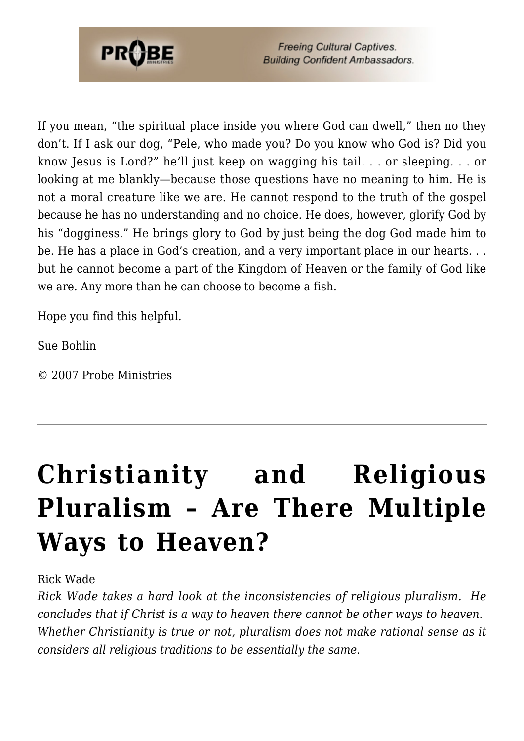

If you mean, "the spiritual place inside you where God can dwell," then no they don't. If I ask our dog, "Pele, who made you? Do you know who God is? Did you know Jesus is Lord?" he'll just keep on wagging his tail. . . or sleeping. . . or looking at me blankly—because those questions have no meaning to him. He is not a moral creature like we are. He cannot respond to the truth of the gospel because he has no understanding and no choice. He does, however, glorify God by his "dogginess." He brings glory to God by just being the dog God made him to be. He has a place in God's creation, and a very important place in our hearts. . . but he cannot become a part of the Kingdom of Heaven or the family of God like we are. Any more than he can choose to become a fish.

Hope you find this helpful.

Sue Bohlin

© 2007 Probe Ministries

# **[Christianity and Religious](https://probe.org/christianity-and-religious-pluralism/) [Pluralism – Are There Multiple](https://probe.org/christianity-and-religious-pluralism/) [Ways to Heaven?](https://probe.org/christianity-and-religious-pluralism/)**

#### Rick Wade

*Rick Wade takes a hard look at the inconsistencies of religious pluralism. He concludes that if Christ is a way to heaven there cannot be other ways to heaven. Whether Christianity is true or not, pluralism does not make rational sense as it considers all religious traditions to be essentially the same.*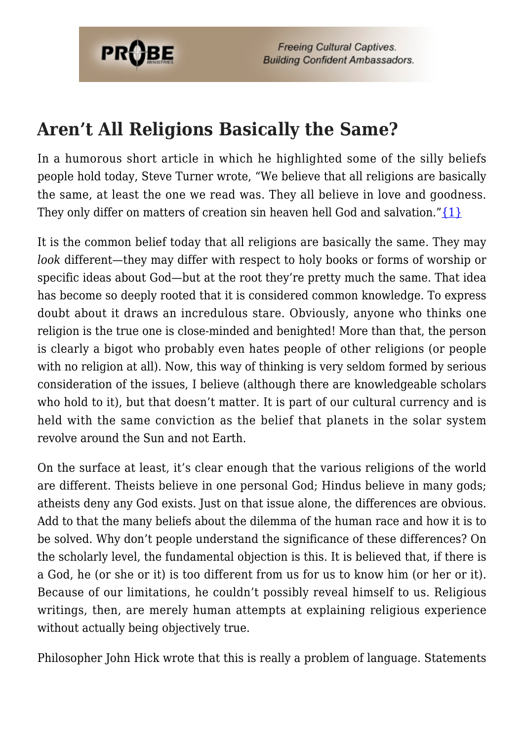

## **Aren't All Religions Basically the Same?**

In a humorous short article in which he highlighted some of the silly beliefs people hold today, Steve Turner wrote, "We believe that all religions are basically the same, at least the one we read was. They all believe in love and goodness. They only differ on matters of creation sin heaven hell God and salvation." $\{1\}$ 

It is the common belief today that all religions are basically the same. They may *look* different—they may differ with respect to holy books or forms of worship or specific ideas about God—but at the root they're pretty much the same. That idea has become so deeply rooted that it is considered common knowledge. To express doubt about it draws an incredulous stare. Obviously, anyone who thinks one religion is the true one is close-minded and benighted! More than that, the person is clearly a bigot who probably even hates people of other religions (or people with no religion at all). Now, this way of thinking is very seldom formed by serious consideration of the issues, I believe (although there are knowledgeable scholars who hold to it), but that doesn't matter. It is part of our cultural currency and is held with the same conviction as the belief that planets in the solar system revolve around the Sun and not Earth.

On the surface at least, it's clear enough that the various religions of the world are different. Theists believe in one personal God; Hindus believe in many gods; atheists deny any God exists. Just on that issue alone, the differences are obvious. Add to that the many beliefs about the dilemma of the human race and how it is to be solved. Why don't people understand the significance of these differences? On the scholarly level, the fundamental objection is this. It is believed that, if there is a God, he (or she or it) is too different from us for us to know him (or her or it). Because of our limitations, he couldn't possibly reveal himself to us. Religious writings, then, are merely human attempts at explaining religious experience without actually being objectively true.

Philosopher John Hick wrote that this is really a problem of language. Statements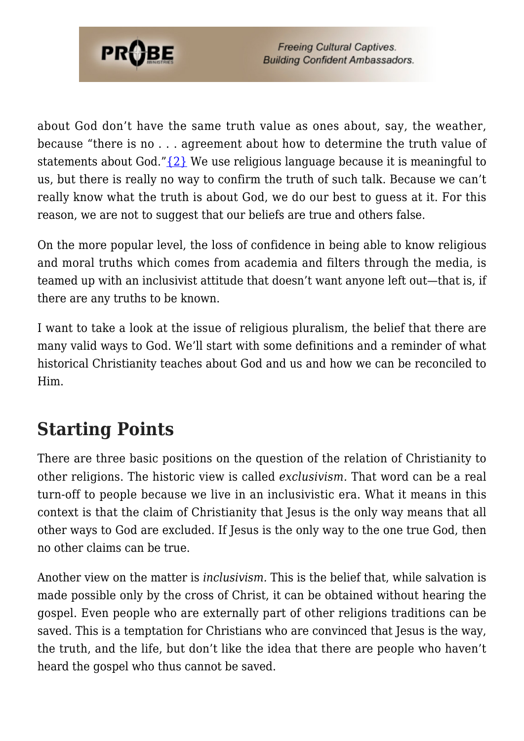

about God don't have the same truth value as ones about, say, the weather, because "there is no . . . agreement about how to determine the truth value of statements about God." $\{2\}$  We use religious language because it is meaningful to us, but there is really no way to confirm the truth of such talk. Because we can't really know what the truth is about God, we do our best to guess at it. For this reason, we are not to suggest that our beliefs are true and others false.

On the more popular level, the loss of confidence in being able to know religious and moral truths which comes from academia and filters through the media, is teamed up with an inclusivist attitude that doesn't want anyone left out—that is, if there are any truths to be known.

I want to take a look at the issue of religious pluralism, the belief that there are many valid ways to God. We'll start with some definitions and a reminder of what historical Christianity teaches about God and us and how we can be reconciled to Him.

## **Starting Points**

There are three basic positions on the question of the relation of Christianity to other religions. The historic view is called *exclusivism.* That word can be a real turn-off to people because we live in an inclusivistic era. What it means in this context is that the claim of Christianity that Jesus is the only way means that all other ways to God are excluded. If Jesus is the only way to the one true God, then no other claims can be true.

Another view on the matter is *inclusivism.* This is the belief that, while salvation is made possible only by the cross of Christ, it can be obtained without hearing the gospel. Even people who are externally part of other religions traditions can be saved. This is a temptation for Christians who are convinced that Jesus is the way, the truth, and the life, but don't like the idea that there are people who haven't heard the gospel who thus cannot be saved.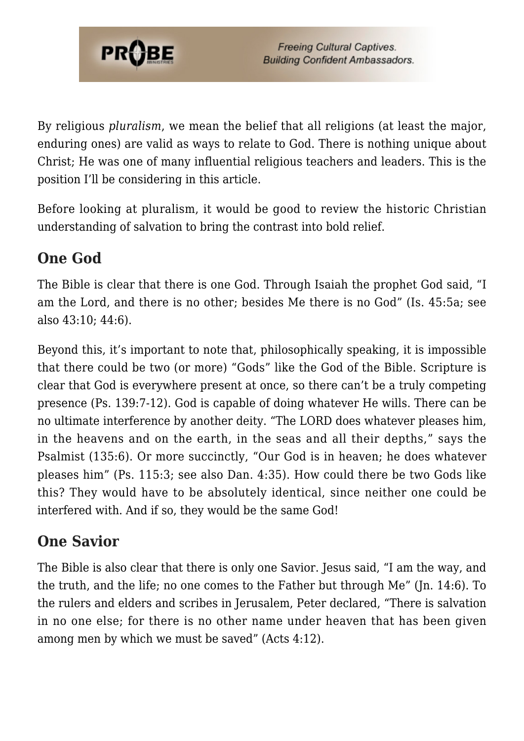

By religious *pluralism*, we mean the belief that all religions (at least the major, enduring ones) are valid as ways to relate to God. There is nothing unique about Christ; He was one of many influential religious teachers and leaders. This is the position I'll be considering in this article.

Before looking at pluralism, it would be good to review the historic Christian understanding of salvation to bring the contrast into bold relief.

### **One God**

The Bible is clear that there is one God. Through Isaiah the prophet God said, "I am the Lord, and there is no other; besides Me there is no God" (Is. 45:5a; see also 43:10; 44:6).

Beyond this, it's important to note that, philosophically speaking, it is impossible that there could be two (or more) "Gods" like the God of the Bible. Scripture is clear that God is everywhere present at once, so there can't be a truly competing presence (Ps. 139:7-12). God is capable of doing whatever He wills. There can be no ultimate interference by another deity. "The LORD does whatever pleases him, in the heavens and on the earth, in the seas and all their depths," says the Psalmist (135:6). Or more succinctly, "Our God is in heaven; he does whatever pleases him" (Ps. 115:3; see also Dan. 4:35). How could there be two Gods like this? They would have to be absolutely identical, since neither one could be interfered with. And if so, they would be the same God!

### **One Savior**

The Bible is also clear that there is only one Savior. Jesus said, "I am the way, and the truth, and the life; no one comes to the Father but through Me" (Jn. 14:6). To the rulers and elders and scribes in Jerusalem, Peter declared, "There is salvation in no one else; for there is no other name under heaven that has been given among men by which we must be saved" (Acts 4:12).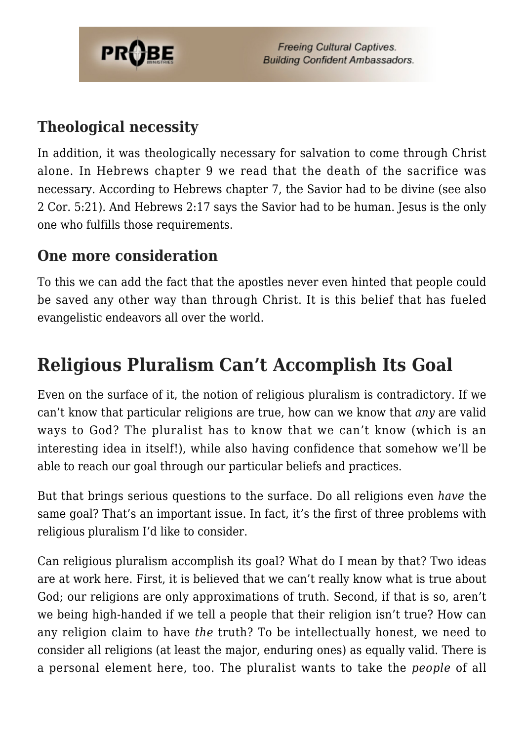

### **Theological necessity**

In addition, it was theologically necessary for salvation to come through Christ alone. In Hebrews chapter 9 we read that the death of the sacrifice was necessary. According to Hebrews chapter 7, the Savior had to be divine (see also 2 Cor. 5:21). And Hebrews 2:17 says the Savior had to be human. Jesus is the only one who fulfills those requirements.

### **One more consideration**

To this we can add the fact that the apostles never even hinted that people could be saved any other way than through Christ. It is this belief that has fueled evangelistic endeavors all over the world.

# **Religious Pluralism Can't Accomplish Its Goal**

Even on the surface of it, the notion of religious pluralism is contradictory. If we can't know that particular religions are true, how can we know that *any* are valid ways to God? The pluralist has to know that we can't know (which is an interesting idea in itself!), while also having confidence that somehow we'll be able to reach our goal through our particular beliefs and practices.

But that brings serious questions to the surface. Do all religions even *have* the same goal? That's an important issue. In fact, it's the first of three problems with religious pluralism I'd like to consider.

Can religious pluralism accomplish its goal? What do I mean by that? Two ideas are at work here. First, it is believed that we can't really know what is true about God; our religions are only approximations of truth. Second, if that is so, aren't we being high-handed if we tell a people that their religion isn't true? How can any religion claim to have *the* truth? To be intellectually honest, we need to consider all religions (at least the major, enduring ones) as equally valid. There is a personal element here, too. The pluralist wants to take the *people* of all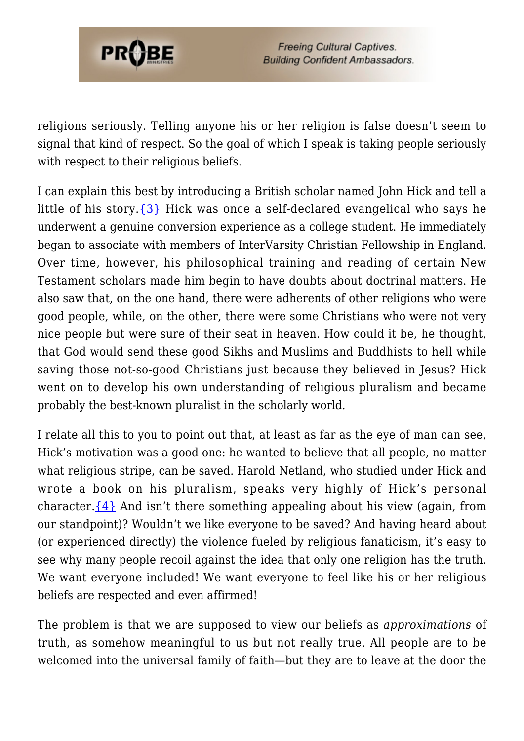

religions seriously. Telling anyone his or her religion is false doesn't seem to signal that kind of respect. So the goal of which I speak is taking people seriously with respect to their religious beliefs.

I can explain this best by introducing a British scholar named John Hick and tell a little of his story. $\{3\}$  Hick was once a self-declared evangelical who says he underwent a genuine conversion experience as a college student. He immediately began to associate with members of InterVarsity Christian Fellowship in England. Over time, however, his philosophical training and reading of certain New Testament scholars made him begin to have doubts about doctrinal matters. He also saw that, on the one hand, there were adherents of other religions who were good people, while, on the other, there were some Christians who were not very nice people but were sure of their seat in heaven. How could it be, he thought, that God would send these good Sikhs and Muslims and Buddhists to hell while saving those not-so-good Christians just because they believed in Jesus? Hick went on to develop his own understanding of religious pluralism and became probably the best-known pluralist in the scholarly world.

I relate all this to you to point out that, at least as far as the eye of man can see, Hick's motivation was a good one: he wanted to believe that all people, no matter what religious stripe, can be saved. Harold Netland, who studied under Hick and wrote a book on his pluralism, speaks very highly of Hick's personal character. ${4}$  And isn't there something appealing about his view (again, from our standpoint)? Wouldn't we like everyone to be saved? And having heard about (or experienced directly) the violence fueled by religious fanaticism, it's easy to see why many people recoil against the idea that only one religion has the truth. We want everyone included! We want everyone to feel like his or her religious beliefs are respected and even affirmed!

The problem is that we are supposed to view our beliefs as *approximations* of truth, as somehow meaningful to us but not really true. All people are to be welcomed into the universal family of faith—but they are to leave at the door the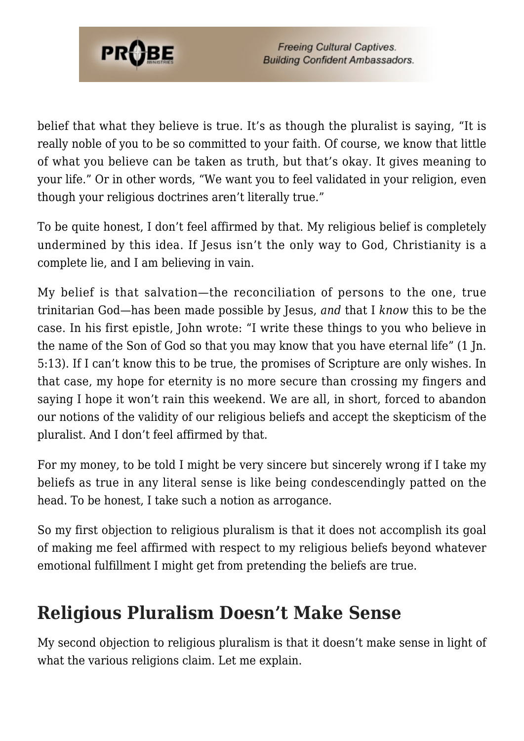

belief that what they believe is true. It's as though the pluralist is saying, "It is really noble of you to be so committed to your faith. Of course, we know that little of what you believe can be taken as truth, but that's okay. It gives meaning to your life." Or in other words, "We want you to feel validated in your religion, even though your religious doctrines aren't literally true."

To be quite honest, I don't feel affirmed by that. My religious belief is completely undermined by this idea. If Jesus isn't the only way to God, Christianity is a complete lie, and I am believing in vain.

My belief is that salvation—the reconciliation of persons to the one, true trinitarian God—has been made possible by Jesus, *and* that I *know* this to be the case. In his first epistle, John wrote: "I write these things to you who believe in the name of the Son of God so that you may know that you have eternal life" (1 Jn. 5:13). If I can't know this to be true, the promises of Scripture are only wishes. In that case, my hope for eternity is no more secure than crossing my fingers and saying I hope it won't rain this weekend. We are all, in short, forced to abandon our notions of the validity of our religious beliefs and accept the skepticism of the pluralist. And I don't feel affirmed by that.

For my money, to be told I might be very sincere but sincerely wrong if I take my beliefs as true in any literal sense is like being condescendingly patted on the head. To be honest, I take such a notion as arrogance.

So my first objection to religious pluralism is that it does not accomplish its goal of making me feel affirmed with respect to my religious beliefs beyond whatever emotional fulfillment I might get from pretending the beliefs are true.

## **Religious Pluralism Doesn't Make Sense**

My second objection to religious pluralism is that it doesn't make sense in light of what the various religions claim. Let me explain.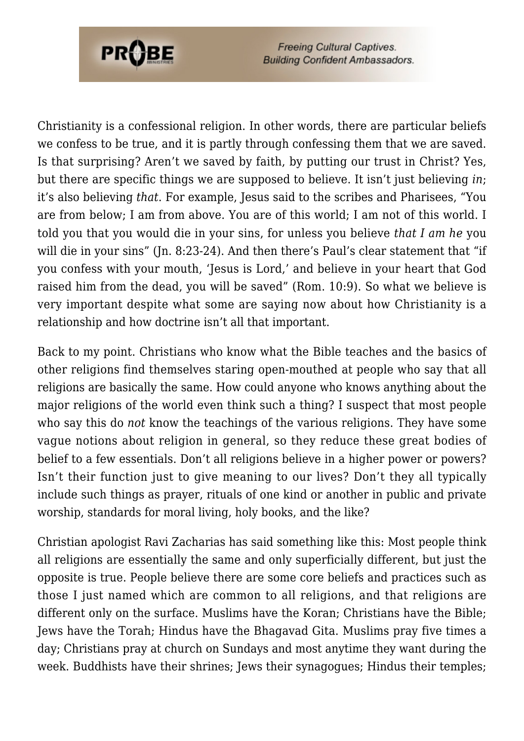

Christianity is a confessional religion. In other words, there are particular beliefs we confess to be true, and it is partly through confessing them that we are saved. Is that surprising? Aren't we saved by faith, by putting our trust in Christ? Yes, but there are specific things we are supposed to believe. It isn't just believing *in*; it's also believing *that*. For example, Jesus said to the scribes and Pharisees, "You are from below; I am from above. You are of this world; I am not of this world. I told you that you would die in your sins, for unless you believe *that I am he* you will die in your sins" (Jn. 8:23-24). And then there's Paul's clear statement that "if you confess with your mouth, 'Jesus is Lord,' and believe in your heart that God raised him from the dead, you will be saved" (Rom. 10:9). So what we believe is very important despite what some are saying now about how Christianity is a relationship and how doctrine isn't all that important.

Back to my point. Christians who know what the Bible teaches and the basics of other religions find themselves staring open-mouthed at people who say that all religions are basically the same. How could anyone who knows anything about the major religions of the world even think such a thing? I suspect that most people who say this do *not* know the teachings of the various religions. They have some vague notions about religion in general, so they reduce these great bodies of belief to a few essentials. Don't all religions believe in a higher power or powers? Isn't their function just to give meaning to our lives? Don't they all typically include such things as prayer, rituals of one kind or another in public and private worship, standards for moral living, holy books, and the like?

Christian apologist Ravi Zacharias has said something like this: Most people think all religions are essentially the same and only superficially different, but just the opposite is true. People believe there are some core beliefs and practices such as those I just named which are common to all religions, and that religions are different only on the surface. Muslims have the Koran; Christians have the Bible; Jews have the Torah; Hindus have the Bhagavad Gita. Muslims pray five times a day; Christians pray at church on Sundays and most anytime they want during the week. Buddhists have their shrines; Jews their synagogues; Hindus their temples;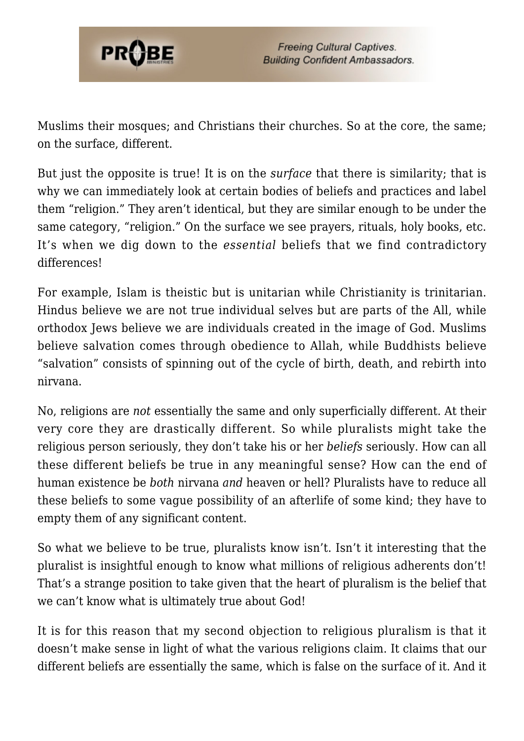

Muslims their mosques; and Christians their churches. So at the core, the same; on the surface, different.

But just the opposite is true! It is on the *surface* that there is similarity; that is why we can immediately look at certain bodies of beliefs and practices and label them "religion." They aren't identical, but they are similar enough to be under the same category, "religion." On the surface we see prayers, rituals, holy books, etc. It's when we dig down to the *essential* beliefs that we find contradictory differences!

For example, Islam is theistic but is unitarian while Christianity is trinitarian. Hindus believe we are not true individual selves but are parts of the All, while orthodox Jews believe we are individuals created in the image of God. Muslims believe salvation comes through obedience to Allah, while Buddhists believe "salvation" consists of spinning out of the cycle of birth, death, and rebirth into nirvana.

No, religions are *not* essentially the same and only superficially different. At their very core they are drastically different. So while pluralists might take the religious person seriously, they don't take his or her *beliefs* seriously. How can all these different beliefs be true in any meaningful sense? How can the end of human existence be *both* nirvana *and* heaven or hell? Pluralists have to reduce all these beliefs to some vague possibility of an afterlife of some kind; they have to empty them of any significant content.

So what we believe to be true, pluralists know isn't. Isn't it interesting that the pluralist is insightful enough to know what millions of religious adherents don't! That's a strange position to take given that the heart of pluralism is the belief that we can't know what is ultimately true about God!

It is for this reason that my second objection to religious pluralism is that it doesn't make sense in light of what the various religions claim. It claims that our different beliefs are essentially the same, which is false on the surface of it. And it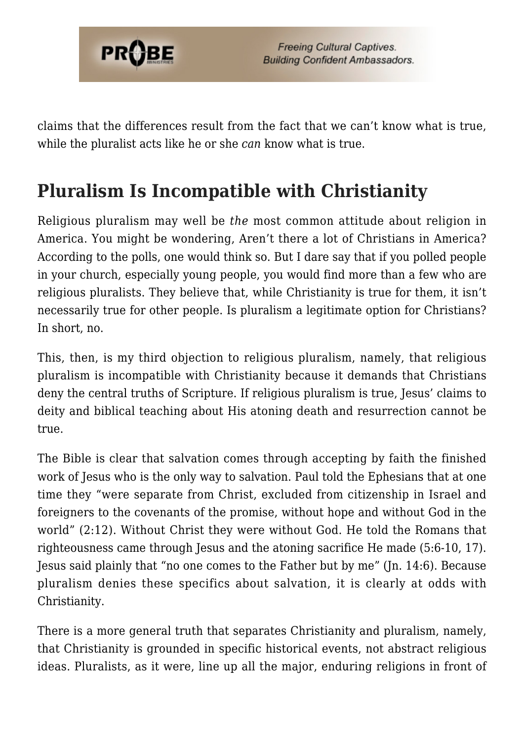

claims that the differences result from the fact that we can't know what is true, while the pluralist acts like he or she *can* know what is true.

# **Pluralism Is Incompatible with Christianity**

Religious pluralism may well be *the* most common attitude about religion in America. You might be wondering, Aren't there a lot of Christians in America? According to the polls, one would think so. But I dare say that if you polled people in your church, especially young people, you would find more than a few who are religious pluralists. They believe that, while Christianity is true for them, it isn't necessarily true for other people. Is pluralism a legitimate option for Christians? In short, no.

This, then, is my third objection to religious pluralism, namely, that religious pluralism is incompatible with Christianity because it demands that Christians deny the central truths of Scripture. If religious pluralism is true, Jesus' claims to deity and biblical teaching about His atoning death and resurrection cannot be true.

The Bible is clear that salvation comes through accepting by faith the finished work of Jesus who is the only way to salvation. Paul told the Ephesians that at one time they "were separate from Christ, excluded from citizenship in Israel and foreigners to the covenants of the promise, without hope and without God in the world" (2:12). Without Christ they were without God. He told the Romans that righteousness came through Jesus and the atoning sacrifice He made (5:6-10, 17). Jesus said plainly that "no one comes to the Father but by me" (Jn. 14:6). Because pluralism denies these specifics about salvation, it is clearly at odds with Christianity.

There is a more general truth that separates Christianity and pluralism, namely, that Christianity is grounded in specific historical events, not abstract religious ideas. Pluralists, as it were, line up all the major, enduring religions in front of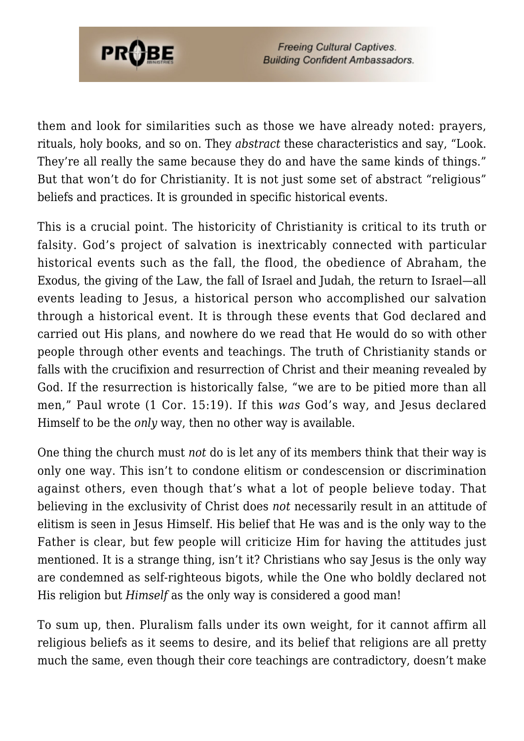

them and look for similarities such as those we have already noted: prayers, rituals, holy books, and so on. They *abstract* these characteristics and say, "Look. They're all really the same because they do and have the same kinds of things." But that won't do for Christianity. It is not just some set of abstract "religious" beliefs and practices. It is grounded in specific historical events.

This is a crucial point. The historicity of Christianity is critical to its truth or falsity. God's project of salvation is inextricably connected with particular historical events such as the fall, the flood, the obedience of Abraham, the Exodus, the giving of the Law, the fall of Israel and Judah, the return to Israel—all events leading to Jesus, a historical person who accomplished our salvation through a historical event. It is through these events that God declared and carried out His plans, and nowhere do we read that He would do so with other people through other events and teachings. The truth of Christianity stands or falls with the crucifixion and resurrection of Christ and their meaning revealed by God. If the resurrection is historically false, "we are to be pitied more than all men," Paul wrote (1 Cor. 15:19). If this *was* God's way, and Jesus declared Himself to be the *only* way, then no other way is available.

One thing the church must *not* do is let any of its members think that their way is only one way. This isn't to condone elitism or condescension or discrimination against others, even though that's what a lot of people believe today. That believing in the exclusivity of Christ does *not* necessarily result in an attitude of elitism is seen in Jesus Himself. His belief that He was and is the only way to the Father is clear, but few people will criticize Him for having the attitudes just mentioned. It is a strange thing, isn't it? Christians who say Jesus is the only way are condemned as self-righteous bigots, while the One who boldly declared not His religion but *Himself* as the only way is considered a good man!

To sum up, then. Pluralism falls under its own weight, for it cannot affirm all religious beliefs as it seems to desire, and its belief that religions are all pretty much the same, even though their core teachings are contradictory, doesn't make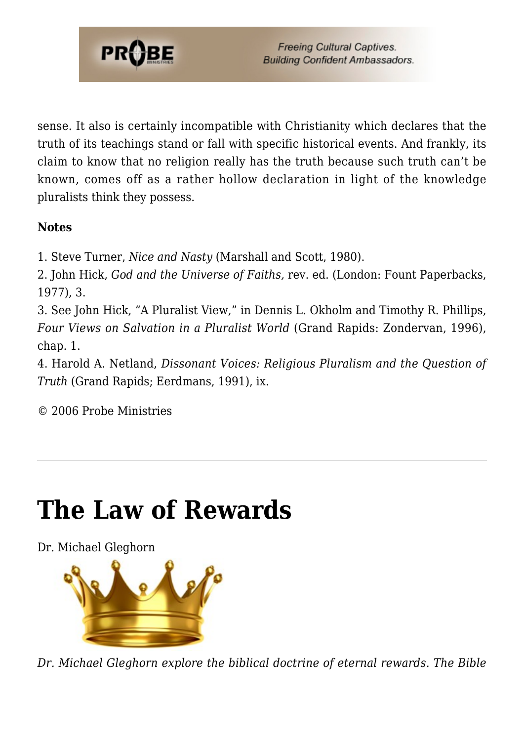

sense. It also is certainly incompatible with Christianity which declares that the truth of its teachings stand or fall with specific historical events. And frankly, its claim to know that no religion really has the truth because such truth can't be known, comes off as a rather hollow declaration in light of the knowledge pluralists think they possess.

### **Notes**

1. Steve Turner, *Nice and Nasty* (Marshall and Scott, 1980).

2. John Hick, *God and the Universe of Faiths,* rev. ed. (London: Fount Paperbacks, 1977), 3.

3. See John Hick, "A Pluralist View," in Dennis L. Okholm and Timothy R. Phillips, *Four Views on Salvation in a Pluralist World* (Grand Rapids: Zondervan, 1996), chap. 1.

4. Harold A. Netland, *Dissonant Voices: Religious Pluralism and the Question of Truth* (Grand Rapids; Eerdmans, 1991), ix.

© 2006 Probe Ministries

# **[The Law of Rewards](https://probe.org/the-law-of-rewards/)**

Dr. Michael Gleghorn



*Dr. Michael Gleghorn explore the biblical doctrine of eternal rewards. The Bible*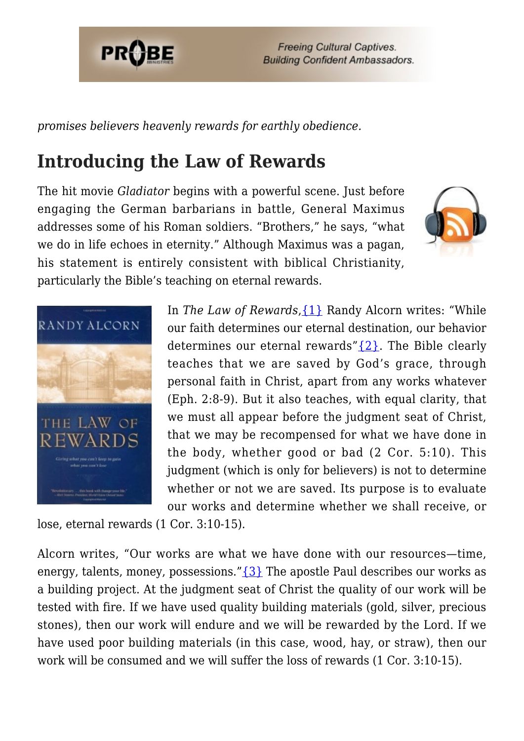

*promises believers heavenly rewards for earthly obedience.*

# **Introducing the Law of Rewards**

The hit movie *Gladiator* begins with a powerful scene. Just before engaging the German barbarians in battle, General Maximus addresses some of his Roman soldiers. "Brothers," he says, "what we do in life echoes in eternity." Although Maximus was a pagan, his statement is entirely consistent with biblical Christianity, particularly the Bible's teaching on eternal rewards.





In *The Law of Rewards*,[{1}](#page-56-0) Randy Alcorn writes: "While our faith determines our eternal destination, our behavior determines our eternal rewards" $\{2\}$ . The Bible clearly teaches that we are saved by God's grace, through personal faith in Christ, apart from any works whatever (Eph. 2:8-9). But it also teaches, with equal clarity, that we must all appear before the judgment seat of Christ, that we may be recompensed for what we have done in the body, whether good or bad (2 Cor. 5:10). This judgment (which is only for believers) is not to determine whether or not we are saved. Its purpose is to evaluate our works and determine whether we shall receive, or

lose, eternal rewards (1 Cor. 3:10-15).

Alcorn writes, "Our works are what we have done with our resources—time, energy, talents, money, possessions." $\{3\}$  The apostle Paul describes our works as a building project. At the judgment seat of Christ the quality of our work will be tested with fire. If we have used quality building materials (gold, silver, precious stones), then our work will endure and we will be rewarded by the Lord. If we have used poor building materials (in this case, wood, hay, or straw), then our work will be consumed and we will suffer the loss of rewards (1 Cor. 3:10-15).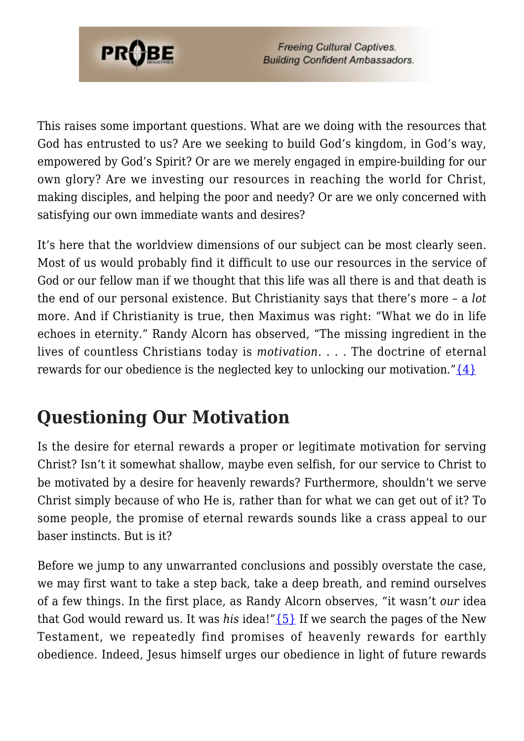

This raises some important questions. What are we doing with the resources that God has entrusted to us? Are we seeking to build God's kingdom, in God's way, empowered by God's Spirit? Or are we merely engaged in empire-building for our own glory? Are we investing our resources in reaching the world for Christ, making disciples, and helping the poor and needy? Or are we only concerned with satisfying our own immediate wants and desires?

It's here that the worldview dimensions of our subject can be most clearly seen. Most of us would probably find it difficult to use our resources in the service of God or our fellow man if we thought that this life was all there is and that death is the end of our personal existence. But Christianity says that there's more – a *lot* more. And if Christianity is true, then Maximus was right: "What we do in life echoes in eternity." Randy Alcorn has observed, "The missing ingredient in the lives of countless Christians today is *motivation*. . . . The doctrine of eternal rewards for our obedience is the neglected key to unlocking our motivation." $\{4\}$ 

# **Questioning Our Motivation**

Is the desire for eternal rewards a proper or legitimate motivation for serving Christ? Isn't it somewhat shallow, maybe even selfish, for our service to Christ to be motivated by a desire for heavenly rewards? Furthermore, shouldn't we serve Christ simply because of who He is, rather than for what we can get out of it? To some people, the promise of eternal rewards sounds like a crass appeal to our baser instincts. But is it?

Before we jump to any unwarranted conclusions and possibly overstate the case, we may first want to take a step back, take a deep breath, and remind ourselves of a few things. In the first place, as Randy Alcorn observes, "it wasn't *our* idea that God would reward us. It was *his* idea!"[{5}](#page-49-2) If we search the pages of the New Testament, we repeatedly find promises of heavenly rewards for earthly obedience. Indeed, Jesus himself urges our obedience in light of future rewards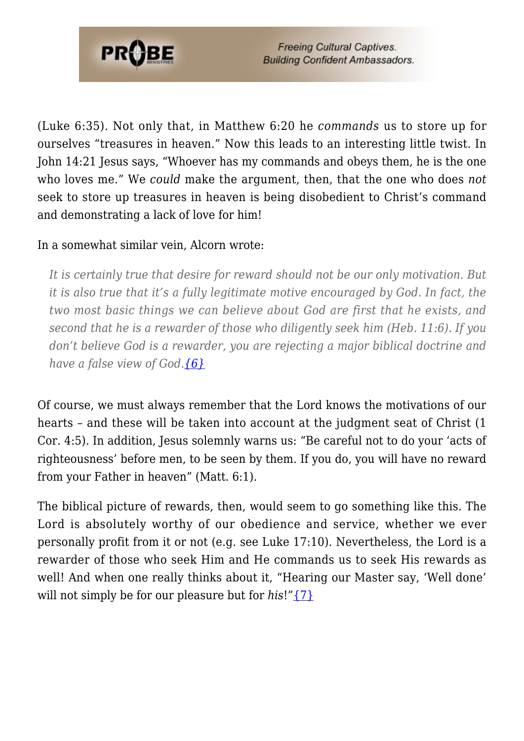

(Luke 6:35). Not only that, in Matthew 6:20 he *commands* us to store up for ourselves "treasures in heaven." Now this leads to an interesting little twist. In John 14:21 Jesus says, "Whoever has my commands and obeys them, he is the one who loves me." We *could* make the argument, then, that the one who does *not* seek to store up treasures in heaven is being disobedient to Christ's command and demonstrating a lack of love for him!

### In a somewhat similar vein, Alcorn wrote:

*It is certainly true that desire for reward should not be our only motivation. But it is also true that it's a fully legitimate motive encouraged by God. In fact, the two most basic things we can believe about God are first that he exists, and second that he is a rewarder of those who diligently seek him (Heb. 11:6). If you don't believe God is a rewarder, you are rejecting a major biblical doctrine and have a false view of God[.{6}](#page-49-3)*

Of course, we must always remember that the Lord knows the motivations of our hearts – and these will be taken into account at the judgment seat of Christ (1 Cor. 4:5). In addition, Jesus solemnly warns us: "Be careful not to do your 'acts of righteousness' before men, to be seen by them. If you do, you will have no reward from your Father in heaven" (Matt. 6:1).

The biblical picture of rewards, then, would seem to go something like this. The Lord is absolutely worthy of our obedience and service, whether we ever personally profit from it or not (e.g. see Luke 17:10). Nevertheless, the Lord is a rewarder of those who seek Him and He commands us to seek His rewards as well! And when one really thinks about it, "Hearing our Master say, 'Well done' will not simply be for our pleasure but for *his*!" {7}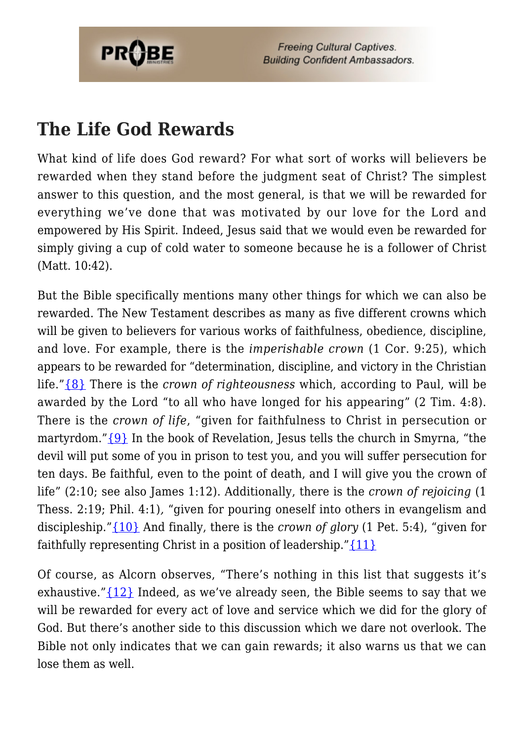

## **The Life God Rewards**

What kind of life does God reward? For what sort of works will believers be rewarded when they stand before the judgment seat of Christ? The simplest answer to this question, and the most general, is that we will be rewarded for everything we've done that was motivated by our love for the Lord and empowered by His Spirit. Indeed, Jesus said that we would even be rewarded for simply giving a cup of cold water to someone because he is a follower of Christ (Matt. 10:42).

But the Bible specifically mentions many other things for which we can also be rewarded. The New Testament describes as many as five different crowns which will be given to believers for various works of faithfulness, obedience, discipline, and love. For example, there is the *imperishable crown* (1 Cor. 9:25), which appears to be rewarded for "determination, discipline, and victory in the Christian life."[{8}](#page-49-5) There is the *crown of righteousness* which, according to Paul, will be awarded by the Lord "to all who have longed for his appearing" (2 Tim. 4:8). There is the *crown of life*, "given for faithfulness to Christ in persecution or martyrdom.["{9}](#page-49-6) In the book of Revelation, Jesus tells the church in Smyrna, "the devil will put some of you in prison to test you, and you will suffer persecution for ten days. Be faithful, even to the point of death, and I will give you the crown of life" (2:10; see also James 1:12). Additionally, there is the *crown of rejoicing* (1 Thess. 2:19; Phil. 4:1)*,* "given for pouring oneself into others in evangelism and discipleship.["{10}](#page-49-7) And finally, there is the *crown of glory* (1 Pet. 5:4), "given for faithfully representing Christ in a position of leadership." $\{11\}$ 

Of course, as Alcorn observes, "There's nothing in this list that suggests it's exhaustive." $\{12\}$  Indeed, as we've already seen, the Bible seems to say that we will be rewarded for every act of love and service which we did for the glory of God. But there's another side to this discussion which we dare not overlook. The Bible not only indicates that we can gain rewards; it also warns us that we can lose them as well.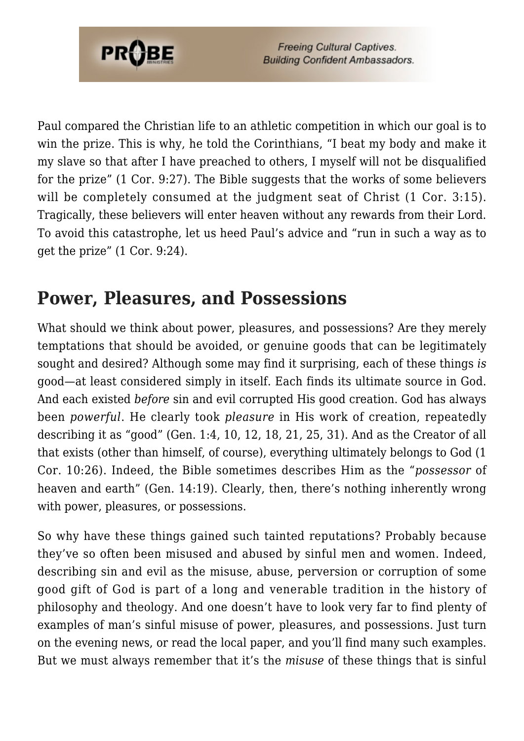

Paul compared the Christian life to an athletic competition in which our goal is to win the prize. This is why, he told the Corinthians, "I beat my body and make it my slave so that after I have preached to others, I myself will not be disqualified for the prize" (1 Cor. 9:27). The Bible suggests that the works of some believers will be completely consumed at the judgment seat of Christ (1 Cor. 3:15). Tragically, these believers will enter heaven without any rewards from their Lord. To avoid this catastrophe, let us heed Paul's advice and "run in such a way as to get the prize" (1 Cor. 9:24).

## **Power, Pleasures, and Possessions**

What should we think about power, pleasures, and possessions? Are they merely temptations that should be avoided, or genuine goods that can be legitimately sought and desired? Although some may find it surprising, each of these things *is* good—at least considered simply in itself. Each finds its ultimate source in God. And each existed *before* sin and evil corrupted His good creation. God has always been *powerful*. He clearly took *pleasure* in His work of creation, repeatedly describing it as "good" (Gen. 1:4, 10, 12, 18, 21, 25, 31). And as the Creator of all that exists (other than himself, of course), everything ultimately belongs to God (1 Cor. 10:26). Indeed, the Bible sometimes describes Him as the "*possessor* of heaven and earth" (Gen. 14:19). Clearly, then, there's nothing inherently wrong with power, pleasures, or possessions.

So why have these things gained such tainted reputations? Probably because they've so often been misused and abused by sinful men and women. Indeed, describing sin and evil as the misuse, abuse, perversion or corruption of some good gift of God is part of a long and venerable tradition in the history of philosophy and theology. And one doesn't have to look very far to find plenty of examples of man's sinful misuse of power, pleasures, and possessions. Just turn on the evening news, or read the local paper, and you'll find many such examples. But we must always remember that it's the *misuse* of these things that is sinful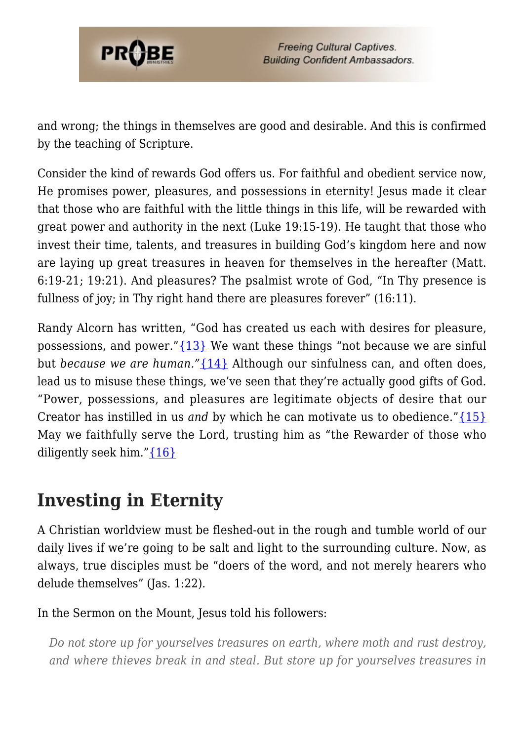

and wrong; the things in themselves are good and desirable. And this is confirmed by the teaching of Scripture.

Consider the kind of rewards God offers us. For faithful and obedient service now, He promises power, pleasures, and possessions in eternity! Jesus made it clear that those who are faithful with the little things in this life, will be rewarded with great power and authority in the next (Luke 19:15-19). He taught that those who invest their time, talents, and treasures in building God's kingdom here and now are laying up great treasures in heaven for themselves in the hereafter (Matt. 6:19-21; 19:21). And pleasures? The psalmist wrote of God, "In Thy presence is fullness of joy; in Thy right hand there are pleasures forever" (16:11).

Randy Alcorn has written, "God has created us each with desires for pleasure, possessions, and power." $\{13\}$  We want these things "not because we are sinful but *because we are human."*[{14}](#page-49-11) Although our sinfulness can, and often does, lead us to misuse these things, we've seen that they're actually good gifts of God. "Power, possessions, and pleasures are legitimate objects of desire that our Creator has instilled in us *and* by which he can motivate us to obedience." {15} May we faithfully serve the Lord, trusting him as "the Rewarder of those who diligently seek him." ${16}$ 

## **Investing in Eternity**

A Christian worldview must be fleshed-out in the rough and tumble world of our daily lives if we're going to be salt and light to the surrounding culture. Now, as always, true disciples must be "doers of the word, and not merely hearers who delude themselves" (Jas. 1:22).

In the Sermon on the Mount, Jesus told his followers:

*Do not store up for yourselves treasures on earth, where moth and rust destroy, and where thieves break in and steal. But store up for yourselves treasures in*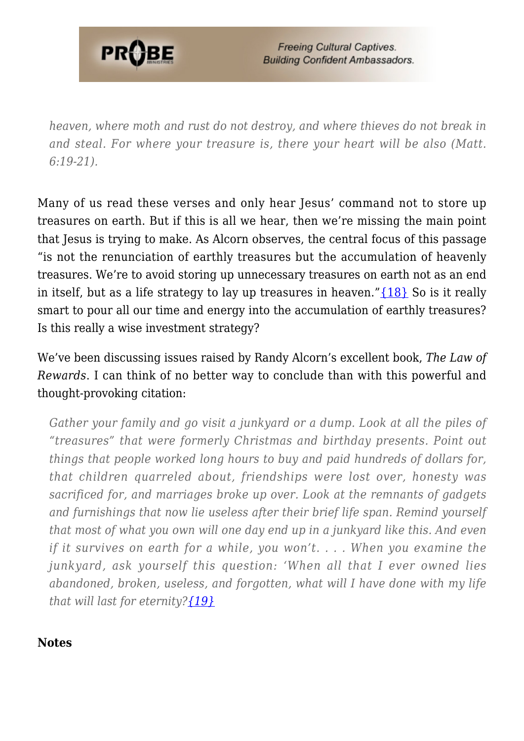

*heaven, where moth and rust do not destroy, and where thieves do not break in and steal. For where your treasure is, there your heart will be also (Matt. 6:19-21).*

Many of us read these verses and only hear Jesus' command not to store up treasures on earth. But if this is all we hear, then we're missing the main point that Jesus is trying to make. As Alcorn observes, the central focus of this passage "is not the renunciation of earthly treasures but the accumulation of heavenly treasures. We're to avoid storing up unnecessary treasures on earth not as an end in itself, but as a life strategy to lay up treasures in heaven." $\{18\}$  So is it really smart to pour all our time and energy into the accumulation of earthly treasures? Is this really a wise investment strategy?

We've been discussing issues raised by Randy Alcorn's excellent book, *The Law of Rewards*. I can think of no better way to conclude than with this powerful and thought-provoking citation:

*Gather your family and go visit a junkyard or a dump. Look at all the piles of "treasures" that were formerly Christmas and birthday presents. Point out things that people worked long hours to buy and paid hundreds of dollars for, that children quarreled about, friendships were lost over, honesty was sacrificed for, and marriages broke up over. Look at the remnants of gadgets and furnishings that now lie useless after their brief life span. Remind yourself that most of what you own will one day end up in a junkyard like this. And even if it survives on earth for a while, you won't. . . . When you examine the junkyard, ask yourself this question: 'When all that I ever owned lies abandoned, broken, useless, and forgotten, what will I have done with my life that will last for eternity[?{19}](#page-49-16)*

### **Notes**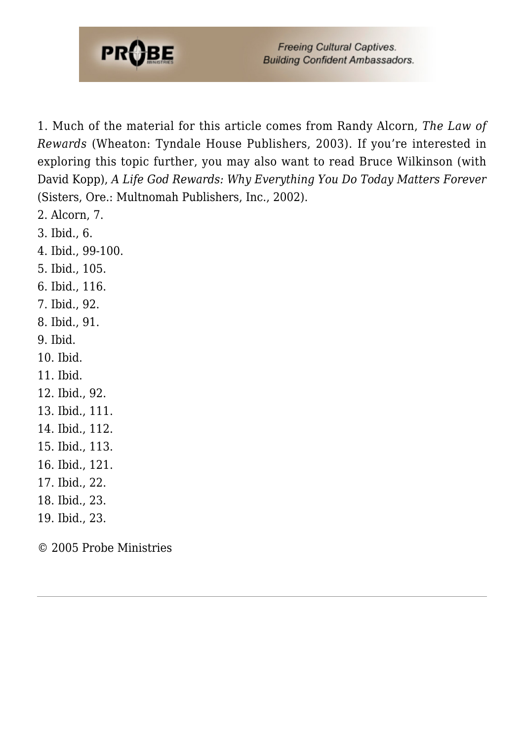

1. Much of the material for this article comes from Randy Alcorn, *The Law of Rewards* (Wheaton: Tyndale House Publishers, 2003). If you're interested in exploring this topic further, you may also want to read Bruce Wilkinson (with David Kopp), *A Life God Rewards: Why Everything You Do Today Matters Forever* (Sisters, Ore.: Multnomah Publishers, Inc., 2002).

- 2. Alcorn, 7.
- <span id="page-49-0"></span>3. Ibid., 6.
- <span id="page-49-1"></span>4. Ibid., 99-100.
- <span id="page-49-2"></span>5. Ibid., 105.
- <span id="page-49-3"></span>6. Ibid., 116.
- <span id="page-49-4"></span>7. Ibid., 92.
- <span id="page-49-5"></span>8. Ibid., 91.
- <span id="page-49-6"></span>9. Ibid.
- <span id="page-49-7"></span>10. Ibid.
- <span id="page-49-8"></span>11. Ibid.
- <span id="page-49-9"></span>12. Ibid., 92.
- <span id="page-49-10"></span>13. Ibid., 111.
- <span id="page-49-11"></span>14. Ibid., 112.
- <span id="page-49-12"></span>15. Ibid., 113.
- <span id="page-49-13"></span>16. Ibid., 121.
- <span id="page-49-14"></span>17. Ibid., 22.
- <span id="page-49-15"></span>18. Ibid., 23.
- <span id="page-49-16"></span>19. Ibid., 23.

© 2005 Probe Ministries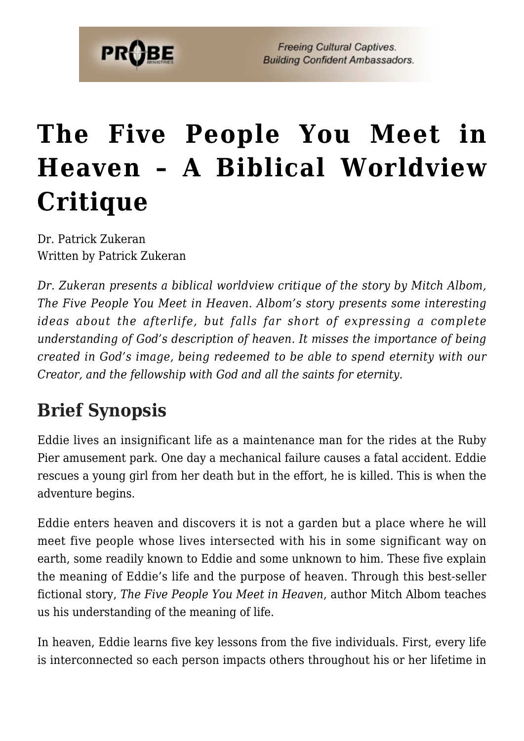

# **[The Five People You Meet in](https://probe.org/the-five-people-you-meet-in-heaven/) [Heaven – A Biblical Worldview](https://probe.org/the-five-people-you-meet-in-heaven/) [Critique](https://probe.org/the-five-people-you-meet-in-heaven/)**

Dr. Patrick Zukeran Written by Patrick Zukeran

*Dr. Zukeran presents a biblical worldview critique of the story by Mitch Albom, The Five People You Meet in Heaven. Albom's story presents some interesting ideas about the afterlife, but falls far short of expressing a complete understanding of God's description of heaven. It misses the importance of being created in God's image, being redeemed to be able to spend eternity with our Creator, and the fellowship with God and all the saints for eternity.*

# **Brief Synopsis**

Eddie lives an insignificant life as a maintenance man for the rides at the Ruby Pier amusement park. One day a mechanical failure causes a fatal accident. Eddie rescues a young girl from her death but in the effort, he is killed. This is when the adventure begins.

Eddie enters heaven and discovers it is not a garden but a place where he will meet five people whose lives intersected with his in some significant way on earth, some readily known to Eddie and some unknown to him. These five explain the meaning of Eddie's life and the purpose of heaven. Through this best-seller fictional story, *The Five People You Meet in Heaven*, author Mitch Albom teaches us his understanding of the meaning of life.

In heaven, Eddie learns five key lessons from the five individuals. First, every life is interconnected so each person impacts others throughout his or her lifetime in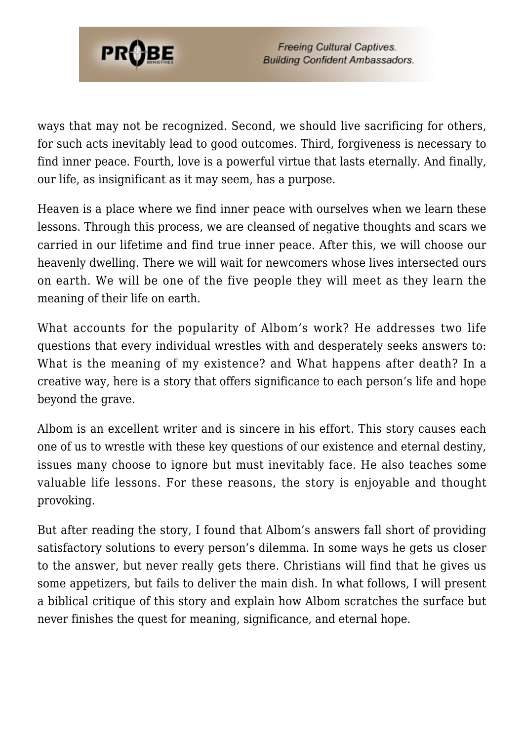

ways that may not be recognized. Second, we should live sacrificing for others, for such acts inevitably lead to good outcomes. Third, forgiveness is necessary to find inner peace. Fourth, love is a powerful virtue that lasts eternally. And finally, our life, as insignificant as it may seem, has a purpose.

Heaven is a place where we find inner peace with ourselves when we learn these lessons. Through this process, we are cleansed of negative thoughts and scars we carried in our lifetime and find true inner peace. After this, we will choose our heavenly dwelling. There we will wait for newcomers whose lives intersected ours on earth. We will be one of the five people they will meet as they learn the meaning of their life on earth.

What accounts for the popularity of Albom's work? He addresses two life questions that every individual wrestles with and desperately seeks answers to: What is the meaning of my existence? and What happens after death? In a creative way, here is a story that offers significance to each person's life and hope beyond the grave.

Albom is an excellent writer and is sincere in his effort. This story causes each one of us to wrestle with these key questions of our existence and eternal destiny, issues many choose to ignore but must inevitably face. He also teaches some valuable life lessons. For these reasons, the story is enjoyable and thought provoking.

But after reading the story, I found that Albom's answers fall short of providing satisfactory solutions to every person's dilemma. In some ways he gets us closer to the answer, but never really gets there. Christians will find that he gives us some appetizers, but fails to deliver the main dish. In what follows, I will present a biblical critique of this story and explain how Albom scratches the surface but never finishes the quest for meaning, significance, and eternal hope.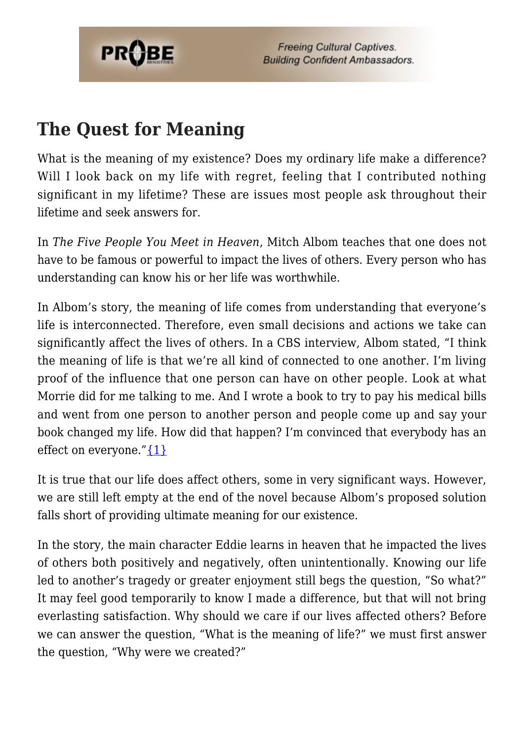

## **The Quest for Meaning**

What is the meaning of my existence? Does my ordinary life make a difference? Will I look back on my life with regret, feeling that I contributed nothing significant in my lifetime? These are issues most people ask throughout their lifetime and seek answers for.

In *The Five People You Meet in Heaven*, Mitch Albom teaches that one does not have to be famous or powerful to impact the lives of others. Every person who has understanding can know his or her life was worthwhile.

In Albom's story, the meaning of life comes from understanding that everyone's life is interconnected. Therefore, even small decisions and actions we take can significantly affect the lives of others. In a CBS interview, Albom stated, "I think the meaning of life is that we're all kind of connected to one another. I'm living proof of the influence that one person can have on other people. Look at what Morrie did for me talking to me. And I wrote a book to try to pay his medical bills and went from one person to another person and people come up and say your book changed my life. How did that happen? I'm convinced that everybody has an effect on everyone." $\{1\}$ 

It is true that our life does affect others, some in very significant ways. However, we are still left empty at the end of the novel because Albom's proposed solution falls short of providing ultimate meaning for our existence.

In the story, the main character Eddie learns in heaven that he impacted the lives of others both positively and negatively, often unintentionally. Knowing our life led to another's tragedy or greater enjoyment still begs the question, "So what?" It may feel good temporarily to know I made a difference, but that will not bring everlasting satisfaction. Why should we care if our lives affected others? Before we can answer the question, "What is the meaning of life?" we must first answer the question, "Why were we created?"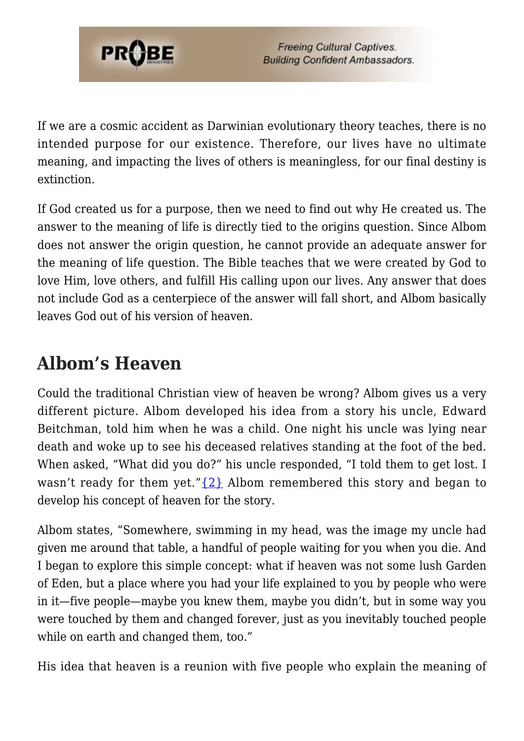

If we are a cosmic accident as Darwinian evolutionary theory teaches, there is no intended purpose for our existence. Therefore, our lives have no ultimate meaning, and impacting the lives of others is meaningless, for our final destiny is extinction.

If God created us for a purpose, then we need to find out why He created us. The answer to the meaning of life is directly tied to the origins question. Since Albom does not answer the origin question, he cannot provide an adequate answer for the meaning of life question. The Bible teaches that we were created by God to love Him, love others, and fulfill His calling upon our lives. Any answer that does not include God as a centerpiece of the answer will fall short, and Albom basically leaves God out of his version of heaven.

## **Albom's Heaven**

Could the traditional Christian view of heaven be wrong? Albom gives us a very different picture. Albom developed his idea from a story his uncle, Edward Beitchman, told him when he was a child. One night his uncle was lying near death and woke up to see his deceased relatives standing at the foot of the bed. When asked, "What did you do?" his uncle responded, "I told them to get lost. I wasn't ready for them yet." $\{2\}$  Albom remembered this story and began to develop his concept of heaven for the story.

Albom states, "Somewhere, swimming in my head, was the image my uncle had given me around that table, a handful of people waiting for you when you die. And I began to explore this simple concept: what if heaven was not some lush Garden of Eden, but a place where you had your life explained to you by people who were in it—five people—maybe you knew them, maybe you didn't, but in some way you were touched by them and changed forever, just as you inevitably touched people while on earth and changed them, too."

His idea that heaven is a reunion with five people who explain the meaning of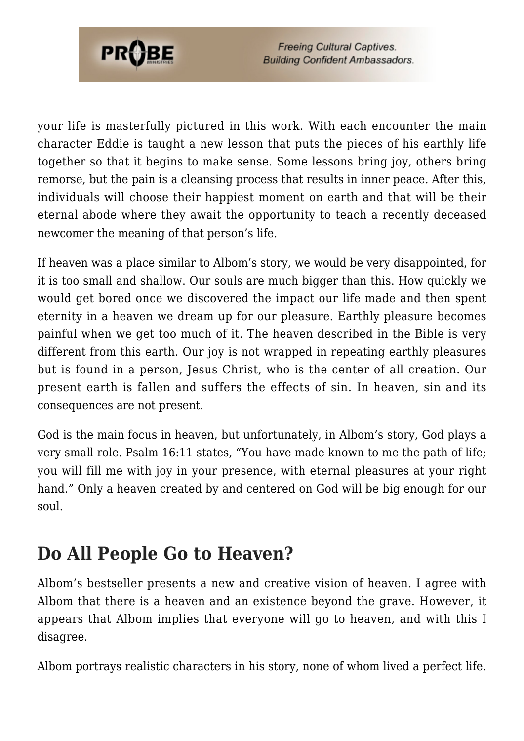

your life is masterfully pictured in this work. With each encounter the main character Eddie is taught a new lesson that puts the pieces of his earthly life together so that it begins to make sense. Some lessons bring joy, others bring remorse, but the pain is a cleansing process that results in inner peace. After this, individuals will choose their happiest moment on earth and that will be their eternal abode where they await the opportunity to teach a recently deceased newcomer the meaning of that person's life.

If heaven was a place similar to Albom's story, we would be very disappointed, for it is too small and shallow. Our souls are much bigger than this. How quickly we would get bored once we discovered the impact our life made and then spent eternity in a heaven we dream up for our pleasure. Earthly pleasure becomes painful when we get too much of it. The heaven described in the Bible is very different from this earth. Our joy is not wrapped in repeating earthly pleasures but is found in a person, Jesus Christ, who is the center of all creation. Our present earth is fallen and suffers the effects of sin. In heaven, sin and its consequences are not present.

God is the main focus in heaven, but unfortunately, in Albom's story, God plays a very small role. Psalm 16:11 states, "You have made known to me the path of life; you will fill me with joy in your presence, with eternal pleasures at your right hand." Only a heaven created by and centered on God will be big enough for our soul.

# **Do All People Go to Heaven?**

Albom's bestseller presents a new and creative vision of heaven. I agree with Albom that there is a heaven and an existence beyond the grave. However, it appears that Albom implies that everyone will go to heaven, and with this I disagree.

Albom portrays realistic characters in his story, none of whom lived a perfect life.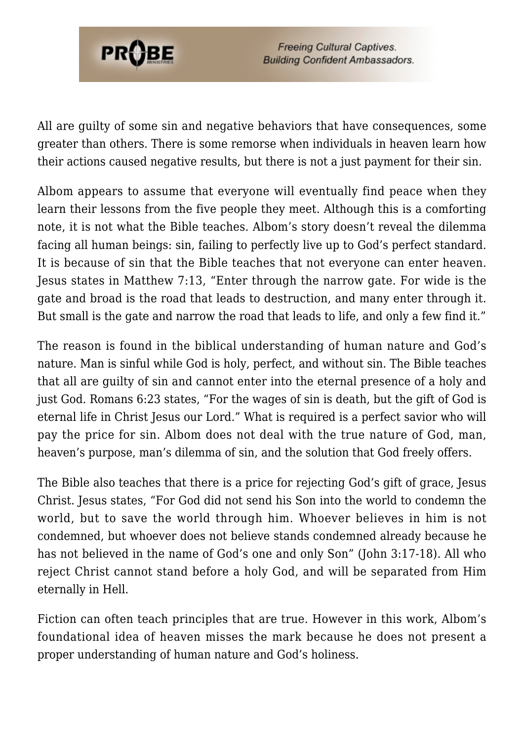

All are guilty of some sin and negative behaviors that have consequences, some greater than others. There is some remorse when individuals in heaven learn how their actions caused negative results, but there is not a just payment for their sin.

Albom appears to assume that everyone will eventually find peace when they learn their lessons from the five people they meet. Although this is a comforting note, it is not what the Bible teaches. Albom's story doesn't reveal the dilemma facing all human beings: sin, failing to perfectly live up to God's perfect standard. It is because of sin that the Bible teaches that not everyone can enter heaven. Jesus states in Matthew 7:13, "Enter through the narrow gate. For wide is the gate and broad is the road that leads to destruction, and many enter through it. But small is the gate and narrow the road that leads to life, and only a few find it."

The reason is found in the biblical understanding of human nature and God's nature. Man is sinful while God is holy, perfect, and without sin. The Bible teaches that all are guilty of sin and cannot enter into the eternal presence of a holy and just God. Romans 6:23 states, "For the wages of sin is death, but the gift of God is eternal life in Christ Jesus our Lord." What is required is a perfect savior who will pay the price for sin. Albom does not deal with the true nature of God, man, heaven's purpose, man's dilemma of sin, and the solution that God freely offers.

The Bible also teaches that there is a price for rejecting God's gift of grace, Jesus Christ. Jesus states, "For God did not send his Son into the world to condemn the world, but to save the world through him. Whoever believes in him is not condemned, but whoever does not believe stands condemned already because he has not believed in the name of God's one and only Son" (John 3:17-18). All who reject Christ cannot stand before a holy God, and will be separated from Him eternally in Hell.

Fiction can often teach principles that are true. However in this work, Albom's foundational idea of heaven misses the mark because he does not present a proper understanding of human nature and God's holiness.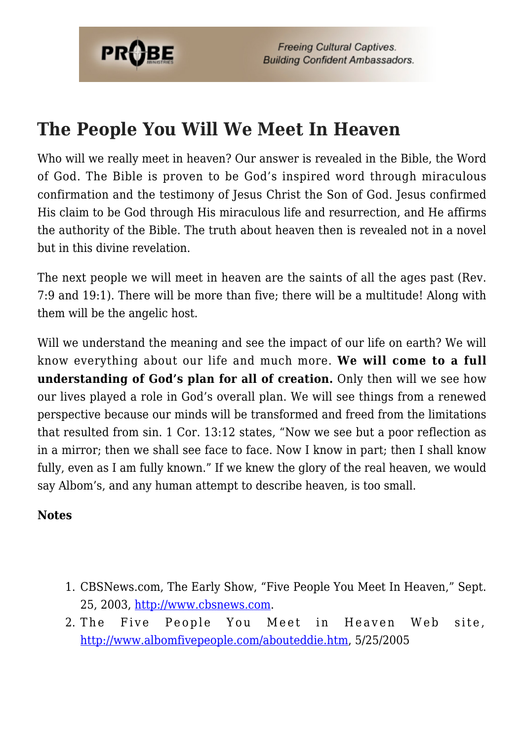

## **The People You Will We Meet In Heaven**

Who will we really meet in heaven? Our answer is revealed in the Bible, the Word of God. The Bible is proven to be God's inspired word through miraculous confirmation and the testimony of Jesus Christ the Son of God. Jesus confirmed His claim to be God through His miraculous life and resurrection, and He affirms the authority of the Bible. The truth about heaven then is revealed not in a novel but in this divine revelation.

The next people we will meet in heaven are the saints of all the ages past (Rev. 7:9 and 19:1). There will be more than five; there will be a multitude! Along with them will be the angelic host.

Will we understand the meaning and see the impact of our life on earth? We will know everything about our life and much more. **We will come to a full understanding of God's plan for all of creation.** Only then will we see how our lives played a role in God's overall plan. We will see things from a renewed perspective because our minds will be transformed and freed from the limitations that resulted from sin. 1 Cor. 13:12 states, "Now we see but a poor reflection as in a mirror; then we shall see face to face. Now I know in part; then I shall know fully, even as I am fully known." If we knew the glory of the real heaven, we would say Albom's, and any human attempt to describe heaven, is too small.

### **Notes**

- <span id="page-56-1"></span><span id="page-56-0"></span>1. CBSNews.com, The Early Show, "Five People You Meet In Heaven," Sept. 25, 2003, [http://www.cbsnews.com.](http://www.cbsnews.com)
- 2. The Five People You Meet in Heaven Web site, [http://www.albomfivepeople.com/abouteddie.htm,](http://www.albomfivepeople.com/abouteddie.htm) 5/25/2005